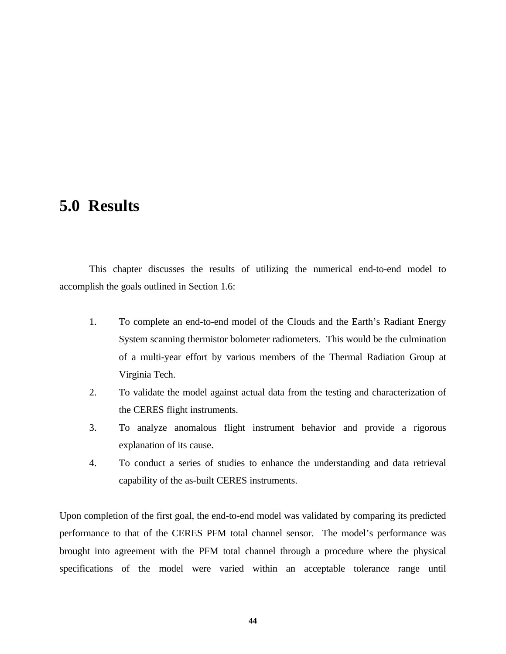# <span id="page-0-0"></span>**5.0 Results**

This chapter discusses the results of utilizing the numerical end-to-end model to accomplish the goals outlined in Section 1.6:

- 1. To complete an end-to-end model of the Clouds and the Earth's Radiant Energy System scanning thermistor bolometer radiometers. This would be the culmination of a multi-year effort by various members of the Thermal Radiation Group at Virginia Tech.
- 2. To validate the model against actual data from the testing and characterization of the CERES flight instruments.
- 3. To analyze anomalous flight instrument behavior and provide a rigorous explanation of its cause.
- 4. To conduct a series of studies to enhance the understanding and data retrieval capability of the as-built CERES instruments.

Upon completion of the first goal, the end-to-end model was validated by comparing its predicted performance to that of the CERES PFM total channel sensor. The model's performance was brought into agreement with the PFM total channel through a procedure where the physical specifications of the model were varied within an acceptable tolerance range until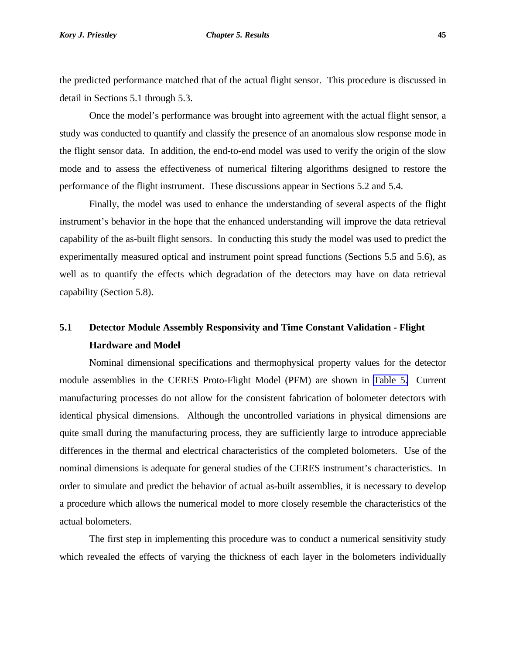#### <span id="page-1-0"></span>*Kory J. Priestley Chapter 5. Results* **45**

the predicted performance matched that of the actual flight sensor. This procedure is discussed in detail in Sections 5.1 through 5.3.

Once the model's performance was brought into agreement with the actual flight sensor, a study was conducted to quantify and classify the presence of an anomalous slow response mode in the flight sensor data. In addition, the end-to-end model was used to verify the origin of the slow mode and to assess the effectiveness of numerical filtering algorithms designed to restore the performance of the flight instrument. These discussions appear in Sections 5.2 and 5.4.

Finally, the model was used to enhance the understanding of several aspects of the flight instrument's behavior in the hope that the enhanced understanding will improve the data retrieval capability of the as-built flight sensors. In conducting this study the model was used to predict the experimentally measured optical and instrument point spread functions (Sections 5.5 and 5.6), as well as to quantify the effects which degradation of the detectors may have on data retrieval capability (Section 5.8).

## **5.1 Detector Module Assembly Responsivity and Time Constant Validation - Flight Hardware and Model**

Nominal dimensional specifications and thermophysical property values for the detector module assemblies in the CERES Proto-Flight Model (PFM) are shown in [Table 5.](#page-4-0) Current manufacturing processes do not allow for the consistent fabrication of bolometer detectors with identical physical dimensions. Although the uncontrolled variations in physical dimensions are quite small during the manufacturing process, they are sufficiently large to introduce appreciable differences in the thermal and electrical characteristics of the completed bolometers. Use of the nominal dimensions is adequate for general studies of the CERES instrument's characteristics. In order to simulate and predict the behavior of actual as-built assemblies, it is necessary to develop a procedure which allows the numerical model to more closely resemble the characteristics of the actual bolometers.

The first step in implementing this procedure was to conduct a numerical sensitivity study which revealed the effects of varying the thickness of each layer in the bolometers individually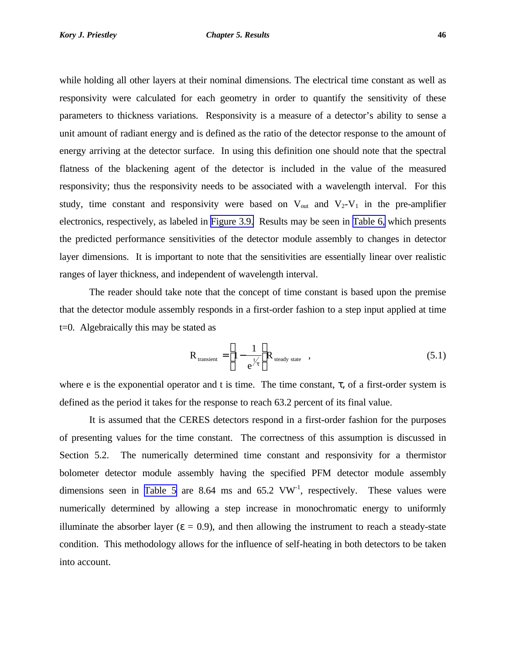<span id="page-2-0"></span>while holding all other layers at their nominal dimensions. The electrical time constant as well as responsivity were calculated for each geometry in order to quantify the sensitivity of these parameters to thickness variations. Responsivity is a measure of a detector's ability to sense a unit amount of radiant energy and is defined as the ratio of the detector response to the amount of energy arriving at the detector surface. In using this definition one should note that the spectral flatness of the blackening agent of the detector is included in the value of the measured responsivity; thus the responsivity needs to be associated with a wavelength interval. For this study, time constant and responsivity were based on  $V_{\text{out}}$  and  $V_2-V_1$  in the pre-amplifier electronics, respectively, as labeled in [Figure 3.9.](#page-16-0) Results may be seen in [Table 6,](#page-5-0) which presents the predicted performance sensitivities of the detector module assembly to changes in detector layer dimensions. It is important to note that the sensitivities are essentially linear over realistic ranges of layer thickness, and independent of wavelength interval.

The reader should take note that the concept of time constant is based upon the premise that the detector module assembly responds in a first-order fashion to a step input applied at time t=0. Algebraically this may be stated as

$$
R_{\text{transient}} = \left[1 - \frac{1}{e^{\frac{t}{\tau}}} \right] R_{\text{steady state}}, \qquad (5.1)
$$

where e is the exponential operator and t is time. The time constant,  $\tau$ , of a first-order system is defined as the period it takes for the response to reach 63.2 percent of its final value.

It is assumed that the CERES detectors respond in a first-order fashion for the purposes of presenting values for the time constant. The correctness of this assumption is discussed in Section 5.2. The numerically determined time constant and responsivity for a thermistor bolometer detector module assembly having the specified PFM detector module assembly dimensions seen in [Table 5](#page-4-0) are 8.64 ms and 65.2  $VW<sup>-1</sup>$ , respectively. These values were numerically determined by allowing a step increase in monochromatic energy to uniformly illuminate the absorber layer ( $\varepsilon = 0.9$ ), and then allowing the instrument to reach a steady-state condition. This methodology allows for the influence of self-heating in both detectors to be taken into account.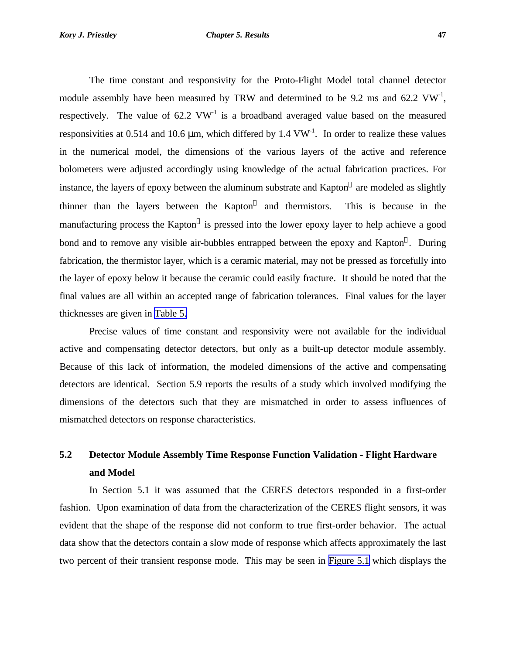<span id="page-3-0"></span>The time constant and responsivity for the Proto-Flight Model total channel detector module assembly have been measured by TRW and determined to be 9.2 ms and 62.2  $VW^{-1}$ , respectively. The value of  $62.2 \text{ VW}^1$  is a broadband averaged value based on the measured responsivities at 0.514 and 10.6  $\mu$ m, which differed by 1.4 VW<sup>-1</sup>. In order to realize these values in the numerical model, the dimensions of the various layers of the active and reference bolometers were adjusted accordingly using knowledge of the actual fabrication practices. For instance, the layers of epoxy between the aluminum substrate and Kapton $^{\circledR}$  are modeled as slightly thinner than the layers between the  $Kapton^@$  and thermistors. This is because in the manufacturing process the Kapton® is pressed into the lower epoxy layer to help achieve a good bond and to remove any visible air-bubbles entrapped between the epoxy and Kapton®. During fabrication, the thermistor layer, which is a ceramic material, may not be pressed as forcefully into the layer of epoxy below it because the ceramic could easily fracture. It should be noted that the final values are all within an accepted range of fabrication tolerances. Final values for the layer thicknesses are given in [Table 5.](#page-4-0)

Precise values of time constant and responsivity were not available for the individual active and compensating detector detectors, but only as a built-up detector module assembly. Because of this lack of information, the modeled dimensions of the active and compensating detectors are identical. Section 5.9 reports the results of a study which involved modifying the dimensions of the detectors such that they are mismatched in order to assess influences of mismatched detectors on response characteristics.

## **5.2 Detector Module Assembly Time Response Function Validation - Flight Hardware and Model**

In Section 5.1 it was assumed that the CERES detectors responded in a first-order fashion. Upon examination of data from the characterization of the CERES flight sensors, it was evident that the shape of the response did not conform to true first-order behavior. The actual data show that the detectors contain a slow mode of response which affects approximately the last two percent of their transient response mode. This may be seen in [Figure 5.1](#page-0-0) which displays the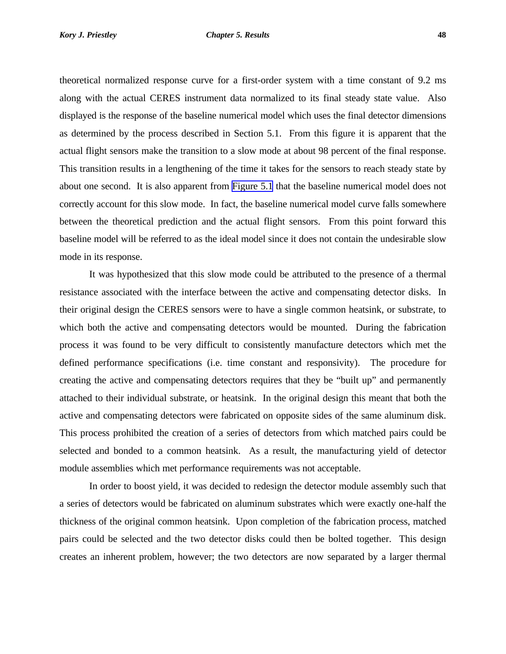<span id="page-4-0"></span>theoretical normalized response curve for a first-order system with a time constant of 9.2 ms along with the actual CERES instrument data normalized to its final steady state value. Also displayed is the response of the baseline numerical model which uses the final detector dimensions as determined by the process described in Section 5.1. From this figure it is apparent that the actual flight sensors make the transition to a slow mode at about 98 percent of the final response. This transition results in a lengthening of the time it takes for the sensors to reach steady state by about one second. It is also apparent from [Figure 5.1](#page-0-0) that the baseline numerical model does not correctly account for this slow mode. In fact, the baseline numerical model curve falls somewhere between the theoretical prediction and the actual flight sensors. From this point forward this baseline model will be referred to as the ideal model since it does not contain the undesirable slow mode in its response.

It was hypothesized that this slow mode could be attributed to the presence of a thermal resistance associated with the interface between the active and compensating detector disks. In their original design the CERES sensors were to have a single common heatsink, or substrate, to which both the active and compensating detectors would be mounted. During the fabrication process it was found to be very difficult to consistently manufacture detectors which met the defined performance specifications (i.e. time constant and responsivity). The procedure for creating the active and compensating detectors requires that they be "built up" and permanently attached to their individual substrate, or heatsink. In the original design this meant that both the active and compensating detectors were fabricated on opposite sides of the same aluminum disk. This process prohibited the creation of a series of detectors from which matched pairs could be selected and bonded to a common heatsink. As a result, the manufacturing yield of detector module assemblies which met performance requirements was not acceptable.

In order to boost yield, it was decided to redesign the detector module assembly such that a series of detectors would be fabricated on aluminum substrates which were exactly one-half the thickness of the original common heatsink. Upon completion of the fabrication process, matched pairs could be selected and the two detector disks could then be bolted together. This design creates an inherent problem, however; the two detectors are now separated by a larger thermal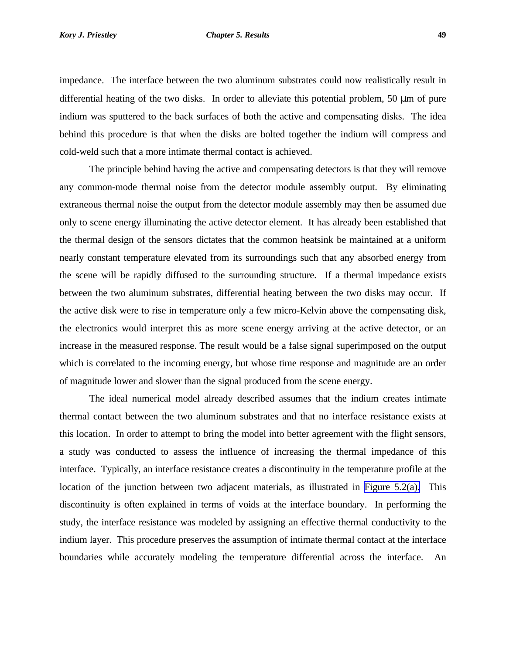<span id="page-5-0"></span>impedance. The interface between the two aluminum substrates could now realistically result in differential heating of the two disks. In order to alleviate this potential problem, 50 μm of pure indium was sputtered to the back surfaces of both the active and compensating disks. The idea behind this procedure is that when the disks are bolted together the indium will compress and cold-weld such that a more intimate thermal contact is achieved.

The principle behind having the active and compensating detectors is that they will remove any common-mode thermal noise from the detector module assembly output. By eliminating extraneous thermal noise the output from the detector module assembly may then be assumed due only to scene energy illuminating the active detector element. It has already been established that the thermal design of the sensors dictates that the common heatsink be maintained at a uniform nearly constant temperature elevated from its surroundings such that any absorbed energy from the scene will be rapidly diffused to the surrounding structure. If a thermal impedance exists between the two aluminum substrates, differential heating between the two disks may occur. If the active disk were to rise in temperature only a few micro-Kelvin above the compensating disk, the electronics would interpret this as more scene energy arriving at the active detector, or an increase in the measured response. The result would be a false signal superimposed on the output which is correlated to the incoming energy, but whose time response and magnitude are an order of magnitude lower and slower than the signal produced from the scene energy.

The ideal numerical model already described assumes that the indium creates intimate thermal contact between the two aluminum substrates and that no interface resistance exists at this location. In order to attempt to bring the model into better agreement with the flight sensors, a study was conducted to assess the influence of increasing the thermal impedance of this interface. Typically, an interface resistance creates a discontinuity in the temperature profile at the location of the junction between two adjacent materials, as illustrated in [Figure 5.2\(a\).](#page-1-0) This discontinuity is often explained in terms of voids at the interface boundary. In performing the study, the interface resistance was modeled by assigning an effective thermal conductivity to the indium layer. This procedure preserves the assumption of intimate thermal contact at the interface boundaries while accurately modeling the temperature differential across the interface. An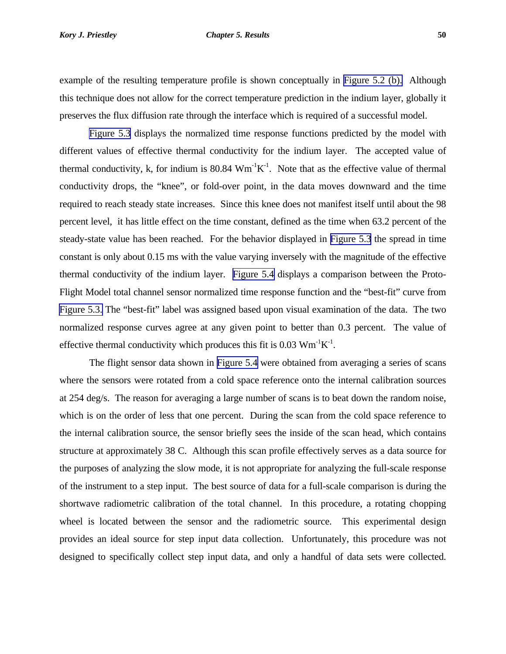#### <span id="page-6-0"></span>*Kory J. Priestley Chapter 5. Results* **50**

example of the resulting temperature profile is shown conceptually in [Figure 5.2 \(b\).](#page-1-0) Although this technique does not allow for the correct temperature prediction in the indium layer, globally it preserves the flux diffusion rate through the interface which is required of a successful model.

[Figure 5.3](#page-2-0) displays the normalized time response functions predicted by the model with different values of effective thermal conductivity for the indium layer. The accepted value of thermal conductivity, k, for indium is 80.84  $Wm^{-1}K^{-1}$ . Note that as the effective value of thermal conductivity drops, the "knee", or fold-over point, in the data moves downward and the time required to reach steady state increases. Since this knee does not manifest itself until about the 98 percent level, it has little effect on the time constant, defined as the time when 63.2 percent of the steady-state value has been reached. For the behavior displayed in [Figure 5.3](#page-2-0) the spread in time constant is only about 0.15 ms with the value varying inversely with the magnitude of the effective thermal conductivity of the indium layer. [Figure 5.4](#page-3-0) displays a comparison between the Proto-Flight Model total channel sensor normalized time response function and the "best-fit" curve from [Figure 5.3.](#page-2-0) The "best-fit" label was assigned based upon visual examination of the data. The two normalized response curves agree at any given point to better than 0.3 percent. The value of effective thermal conductivity which produces this fit is  $0.03 \text{ Wm}^{-1}\text{K}^{-1}$ .

The flight sensor data shown in [Figure 5.4](#page-3-0) were obtained from averaging a series of scans where the sensors were rotated from a cold space reference onto the internal calibration sources at 254 deg/s. The reason for averaging a large number of scans is to beat down the random noise, which is on the order of less that one percent. During the scan from the cold space reference to the internal calibration source, the sensor briefly sees the inside of the scan head, which contains structure at approximately 38 C. Although this scan profile effectively serves as a data source for the purposes of analyzing the slow mode, it is not appropriate for analyzing the full-scale response of the instrument to a step input. The best source of data for a full-scale comparison is during the shortwave radiometric calibration of the total channel. In this procedure, a rotating chopping wheel is located between the sensor and the radiometric source. This experimental design provides an ideal source for step input data collection. Unfortunately, this procedure was not designed to specifically collect step input data, and only a handful of data sets were collected.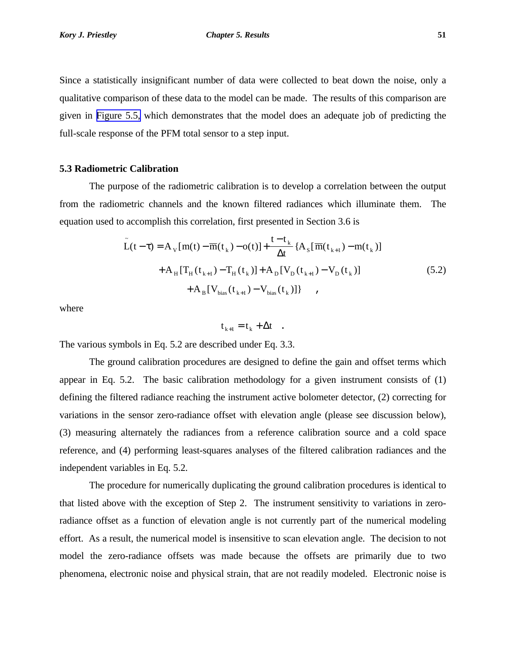<span id="page-7-0"></span>Since a statistically insignificant number of data were collected to beat down the noise, only a qualitative comparison of these data to the model can be made. The results of this comparison are given in [Figure 5.5,](#page-4-0) which demonstrates that the model does an adequate job of predicting the full-scale response of the PFM total sensor to a step input.

### **5.3 Radiometric Calibration**

The purpose of the radiometric calibration is to develop a correlation between the output from the radiometric channels and the known filtered radiances which illuminate them. The equation used to accomplish this correlation, first presented in Section 3.6 is

$$
\tilde{L}(t-\tau) = A_{V}[m(t) - \overline{m}(t_{k}) - o(t)] + \frac{t - t_{k}}{\Delta t} \{A_{S}[\overline{m}(t_{k+1}) - m(t_{k})] + A_{H}[\overline{T}_{H}(t_{k+1}) - \overline{T}_{H}(t_{k})] + A_{D}[\overline{V}_{D}(t_{k+1}) - \overline{V}_{D}(t_{k})] + A_{B}[\overline{V}_{bias}(t_{k+1}) - \overline{V}_{bias}(t_{k})]\},
$$
\n(5.2)

where

 $t_{k+1} = t_k + \Delta t$ .

The various symbols in Eq. 5.2 are described under Eq. 3.3.

The ground calibration procedures are designed to define the gain and offset terms which appear in Eq. 5.2. The basic calibration methodology for a given instrument consists of (1) defining the filtered radiance reaching the instrument active bolometer detector, (2) correcting for variations in the sensor zero-radiance offset with elevation angle (please see discussion below), (3) measuring alternately the radiances from a reference calibration source and a cold space reference, and (4) performing least-squares analyses of the filtered calibration radiances and the independent variables in Eq. 5.2.

The procedure for numerically duplicating the ground calibration procedures is identical to that listed above with the exception of Step 2. The instrument sensitivity to variations in zeroradiance offset as a function of elevation angle is not currently part of the numerical modeling effort. As a result, the numerical model is insensitive to scan elevation angle. The decision to not model the zero-radiance offsets was made because the offsets are primarily due to two phenomena, electronic noise and physical strain, that are not readily modeled. Electronic noise is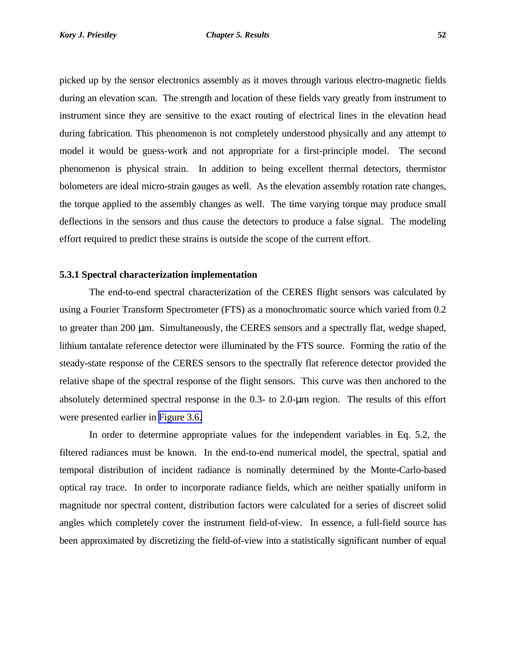<span id="page-8-0"></span>picked up by the sensor electronics assembly as it moves through various electro-magnetic fields during an elevation scan. The strength and location of these fields vary greatly from instrument to instrument since they are sensitive to the exact routing of electrical lines in the elevation head during fabrication. This phenomenon is not completely understood physically and any attempt to model it would be guess-work and not appropriate for a first-principle model. The second phenomenon is physical strain. In addition to being excellent thermal detectors, thermistor bolometers are ideal micro-strain gauges as well. As the elevation assembly rotation rate changes, the torque applied to the assembly changes as well. The time varying torque may produce small deflections in the sensors and thus cause the detectors to produce a false signal. The modeling effort required to predict these strains is outside the scope of the current effort.

## **5.3.1 Spectral characterization implementation**

The end-to-end spectral characterization of the CERES flight sensors was calculated by using a Fourier Transform Spectrometer (FTS) as a monochromatic source which varied from 0.2 to greater than 200 μm. Simultaneously, the CERES sensors and a spectrally flat, wedge shaped, lithium tantalate reference detector were illuminated by the FTS source. Forming the ratio of the steady-state response of the CERES sensors to the spectrally flat reference detector provided the relative shape of the spectral response of the flight sensors. This curve was then anchored to the absolutely determined spectral response in the 0.3- to 2.0-μm region. The results of this effort were presented earlier in [Figure 3.6.](#page-13-0)

In order to determine appropriate values for the independent variables in Eq. 5.2, the filtered radiances must be known. In the end-to-end numerical model, the spectral, spatial and temporal distribution of incident radiance is nominally determined by the Monte-Carlo-based optical ray trace. In order to incorporate radiance fields, which are neither spatially uniform in magnitude nor spectral content, distribution factors were calculated for a series of discreet solid angles which completely cover the instrument field-of-view. In essence, a full-field source has been approximated by discretizing the field-of-view into a statistically significant number of equal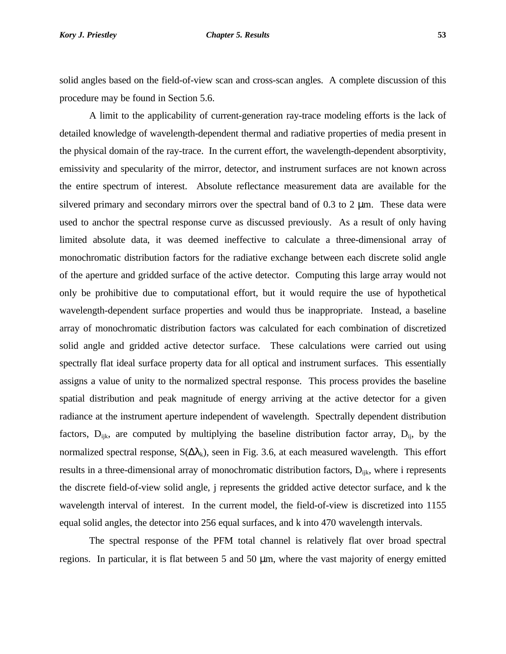#### <span id="page-9-0"></span>*Kory J. Priestley Chapter 5. Results* **53**

solid angles based on the field-of-view scan and cross-scan angles. A complete discussion of this procedure may be found in Section 5.6.

A limit to the applicability of current-generation ray-trace modeling efforts is the lack of detailed knowledge of wavelength-dependent thermal and radiative properties of media present in the physical domain of the ray-trace. In the current effort, the wavelength-dependent absorptivity, emissivity and specularity of the mirror, detector, and instrument surfaces are not known across the entire spectrum of interest. Absolute reflectance measurement data are available for the silvered primary and secondary mirrors over the spectral band of  $0.3$  to  $2 \mu$ m. These data were used to anchor the spectral response curve as discussed previously. As a result of only having limited absolute data, it was deemed ineffective to calculate a three-dimensional array of monochromatic distribution factors for the radiative exchange between each discrete solid angle of the aperture and gridded surface of the active detector. Computing this large array would not only be prohibitive due to computational effort, but it would require the use of hypothetical wavelength-dependent surface properties and would thus be inappropriate. Instead, a baseline array of monochromatic distribution factors was calculated for each combination of discretized solid angle and gridded active detector surface. These calculations were carried out using spectrally flat ideal surface property data for all optical and instrument surfaces. This essentially assigns a value of unity to the normalized spectral response. This process provides the baseline spatial distribution and peak magnitude of energy arriving at the active detector for a given radiance at the instrument aperture independent of wavelength. Spectrally dependent distribution factors,  $D_{ijk}$ , are computed by multiplying the baseline distribution factor array,  $D_{ij}$ , by the normalized spectral response,  $S(\Delta\lambda_k)$ , seen in Fig. 3.6, at each measured wavelength. This effort results in a three-dimensional array of monochromatic distribution factors,  $D_{ijk}$ , where i represents the discrete field-of-view solid angle, j represents the gridded active detector surface, and k the wavelength interval of interest. In the current model, the field-of-view is discretized into 1155 equal solid angles, the detector into 256 equal surfaces, and k into 470 wavelength intervals.

The spectral response of the PFM total channel is relatively flat over broad spectral regions. In particular, it is flat between 5 and 50 μm, where the vast majority of energy emitted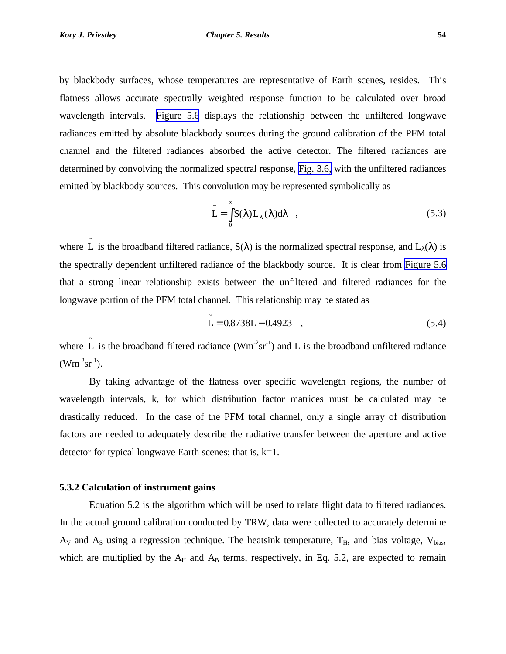<span id="page-10-0"></span>by blackbody surfaces, whose temperatures are representative of Earth scenes, resides. This flatness allows accurate spectrally weighted response function to be calculated over broad wavelength intervals. [Figure 5.6](#page-5-0) displays the relationship between the unfiltered longwave radiances emitted by absolute blackbody sources during the ground calibration of the PFM total channel and the filtered radiances absorbed the active detector. The filtered radiances are determined by convolving the normalized spectral response, [Fig. 3.6,](#page-13-0) with the unfiltered radiances emitted by blackbody sources. This convolution may be represented symbolically as

$$
\tilde{L} = \int_{0}^{\infty} S(\lambda) L_{\lambda}(\lambda) d\lambda , \qquad (5.3)
$$

where  $\tilde{L}$  is the broadband filtered radiance,  $S(\lambda)$  is the normalized spectral response, and  $L_{\lambda}(\lambda)$  is the spectrally dependent unfiltered radiance of the blackbody source. It is clear from [Figure 5.6](#page-5-0) that a strong linear relationship exists between the unfiltered and filtered radiances for the longwave portion of the PFM total channel. This relationship may be stated as

$$
\tilde{L} = 0.8738L - 0.4923 \quad , \tag{5.4}
$$

where  $\tilde{L}$  is the broadband filtered radiance (Wm<sup>-2</sup>sr<sup>-1</sup>) and L is the broadband unfiltered radiance  $(Wm^{-2}sr^{-1}).$ 

By taking advantage of the flatness over specific wavelength regions, the number of wavelength intervals, k, for which distribution factor matrices must be calculated may be drastically reduced. In the case of the PFM total channel, only a single array of distribution factors are needed to adequately describe the radiative transfer between the aperture and active detector for typical longwave Earth scenes; that is, k=1.

### **5.3.2 Calculation of instrument gains**

Equation 5.2 is the algorithm which will be used to relate flight data to filtered radiances. In the actual ground calibration conducted by TRW, data were collected to accurately determine  $A_V$  and  $A_S$  using a regression technique. The heatsink temperature,  $T_H$ , and bias voltage,  $V_{bias}$ , which are multiplied by the  $A_H$  and  $A_B$  terms, respectively, in Eq. 5.2, are expected to remain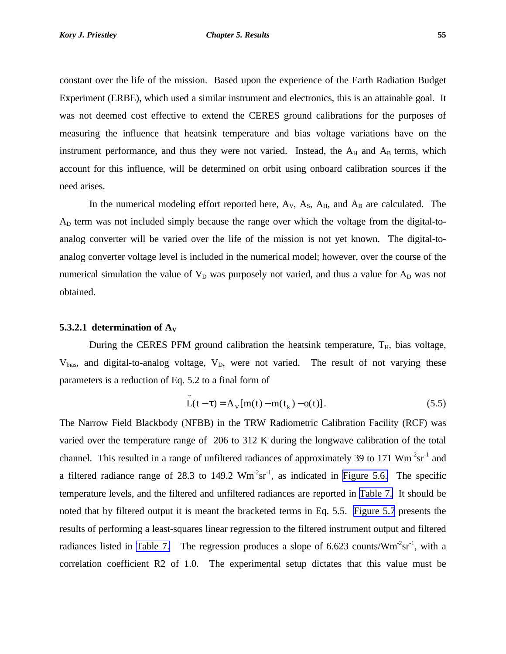<span id="page-11-0"></span>constant over the life of the mission. Based upon the experience of the Earth Radiation Budget Experiment (ERBE), which used a similar instrument and electronics, this is an attainable goal. It was not deemed cost effective to extend the CERES ground calibrations for the purposes of measuring the influence that heatsink temperature and bias voltage variations have on the instrument performance, and thus they were not varied. Instead, the  $A_H$  and  $A_B$  terms, which account for this influence, will be determined on orbit using onboard calibration sources if the need arises.

In the numerical modeling effort reported here,  $A_V$ ,  $A_S$ ,  $A_H$ , and  $A_B$  are calculated. The AD term was not included simply because the range over which the voltage from the digital-toanalog converter will be varied over the life of the mission is not yet known. The digital-toanalog converter voltage level is included in the numerical model; however, over the course of the numerical simulation the value of  $V_D$  was purposely not varied, and thus a value for  $A_D$  was not obtained.

### **5.3.2.1 determination of**  $A_V$

During the CERES PFM ground calibration the heatsink temperature,  $T_H$ , bias voltage,  $V_{bias}$ , and digital-to-analog voltage,  $V_D$ , were not varied. The result of not varying these parameters is a reduction of Eq. 5.2 to a final form of

$$
\tilde{L}(t-\tau) = A_v[m(t) - \overline{m}(t_k) - o(t)].
$$
\n(5.5)

The Narrow Field Blackbody (NFBB) in the TRW Radiometric Calibration Facility (RCF) was varied over the temperature range of 206 to 312 K during the longwave calibration of the total channel. This resulted in a range of unfiltered radiances of approximately 39 to 171  $\text{Wm}^2 \text{sr}^1$  and a filtered radiance range of 28.3 to 149.2  $Wm<sup>-2</sup>sr<sup>-1</sup>$ , as indicated in [Figure 5.6.](#page-5-0) The specific temperature levels, and the filtered and unfiltered radiances are reported in [Table 7.](#page-6-0) It should be noted that by filtered output it is meant the bracketed terms in Eq. 5.5. [Figure 5.7](#page-6-0) presents the results of performing a least-squares linear regression to the filtered instrument output and filtered radiances listed in [Table 7.](#page-6-0) The regression produces a slope of 6.623 counts/ $Wm<sup>-2</sup>sr<sup>-1</sup>$ , with a correlation coefficient R2 of 1.0. The experimental setup dictates that this value must be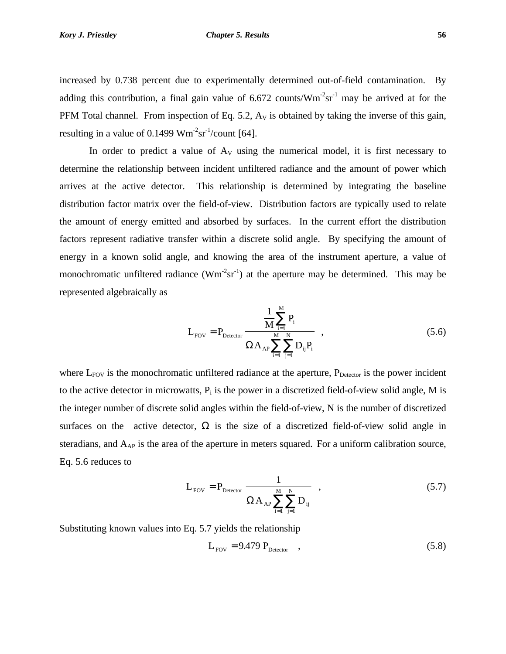<span id="page-12-0"></span>increased by 0.738 percent due to experimentally determined out-of-field contamination. By adding this contribution, a final gain value of  $6.672$  counts/ $Wm<sup>-2</sup>sr<sup>-1</sup>$  may be arrived at for the PFM Total channel. From inspection of Eq. 5.2,  $A<sub>V</sub>$  is obtained by taking the inverse of this gain, resulting in a value of  $0.1499 \text{ Wm}^2 \text{sr}^1/\text{count}$  [64].

In order to predict a value of  $A_V$  using the numerical model, it is first necessary to determine the relationship between incident unfiltered radiance and the amount of power which arrives at the active detector. This relationship is determined by integrating the baseline distribution factor matrix over the field-of-view. Distribution factors are typically used to relate the amount of energy emitted and absorbed by surfaces. In the current effort the distribution factors represent radiative transfer within a discrete solid angle. By specifying the amount of energy in a known solid angle, and knowing the area of the instrument aperture, a value of monochromatic unfiltered radiance  $(Wm^{-2}sr^{-1})$  at the aperture may be determined. This may be represented algebraically as

$$
L_{\text{FOV}} = P_{\text{Detector}} \frac{\frac{1}{M} \sum_{i=1}^{M} P_{i}}{\Omega A_{\text{AP}} \sum_{i=1}^{M} \sum_{j=1}^{N} D_{ij} P_{i}} , \qquad (5.6)
$$

where  $L_{FOV}$  is the monochromatic unfiltered radiance at the aperture,  $P_{Detector}$  is the power incident to the active detector in microwatts,  $P_i$  is the power in a discretized field-of-view solid angle, M is the integer number of discrete solid angles within the field-of-view, N is the number of discretized surfaces on the active detector,  $\Omega$  is the size of a discretized field-of-view solid angle in steradians, and  $A_{AP}$  is the area of the aperture in meters squared. For a uniform calibration source, Eq. 5.6 reduces to

$$
L_{\text{FOV}} = P_{\text{detector}} \frac{1}{\Omega A_{\text{AP}} \sum_{i=1}^{M} \sum_{j=1}^{N} D_{ij}} , \qquad (5.7)
$$

Substituting known values into Eq. 5.7 yields the relationship

$$
L_{\text{FOV}} = 9.479 \, P_{\text{Detector}} \quad , \tag{5.8}
$$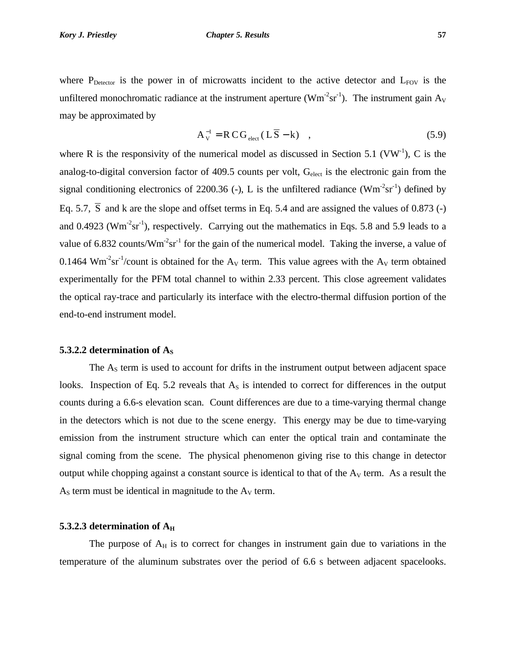#### <span id="page-13-0"></span>*Kory J. Priestley Chapter 5. Results* **57**

where  $P_{\text{Detector}}$  is the power in of microwatts incident to the active detector and  $L_{\text{FOV}}$  is the unfiltered monochromatic radiance at the instrument aperture ( $Wm<sup>-2</sup>sr<sup>-1</sup>$ ). The instrument gain  $A_V$ may be approximated by

$$
A_V^{-1} = R\,C\,G_{\text{elect}}\,(L\,\overline{S} - k) \quad , \tag{5.9}
$$

where R is the responsivity of the numerical model as discussed in Section 5.1 (VW<sup>-1</sup>), C is the analog-to-digital conversion factor of 409.5 counts per volt, G<sub>elect</sub> is the electronic gain from the signal conditioning electronics of 2200.36 (-), L is the unfiltered radiance  $(Wm^{-2}sr^{-1})$  defined by Eq. 5.7,  $\overline{S}$  and k are the slope and offset terms in Eq. 5.4 and are assigned the values of 0.873 (-) and 0.4923 ( $Wm^{-2}sr^{-1}$ ), respectively. Carrying out the mathematics in Eqs. 5.8 and 5.9 leads to a value of 6.832 counts/ $Wm<sup>2</sup>sr<sup>-1</sup>$  for the gain of the numerical model. Taking the inverse, a value of 0.1464 Wm<sup>-2</sup>sr<sup>-1</sup>/count is obtained for the A<sub>V</sub> term. This value agrees with the A<sub>V</sub> term obtained experimentally for the PFM total channel to within 2.33 percent. This close agreement validates the optical ray-trace and particularly its interface with the electro-thermal diffusion portion of the end-to-end instrument model.

## **5.3.2.2 determination of A**<sub>S</sub>

The  $A<sub>S</sub>$  term is used to account for drifts in the instrument output between adjacent space looks. Inspection of Eq. 5.2 reveals that  $A<sub>S</sub>$  is intended to correct for differences in the output counts during a 6.6-s elevation scan. Count differences are due to a time-varying thermal change in the detectors which is not due to the scene energy. This energy may be due to time-varying emission from the instrument structure which can enter the optical train and contaminate the signal coming from the scene. The physical phenomenon giving rise to this change in detector output while chopping against a constant source is identical to that of the  $A<sub>V</sub>$  term. As a result the  $A<sub>S</sub>$  term must be identical in magnitude to the  $A<sub>V</sub>$  term.

## **5.3.2.3 determination of A<sup>H</sup>**

The purpose of  $A_H$  is to correct for changes in instrument gain due to variations in the temperature of the aluminum substrates over the period of 6.6 s between adjacent spacelooks.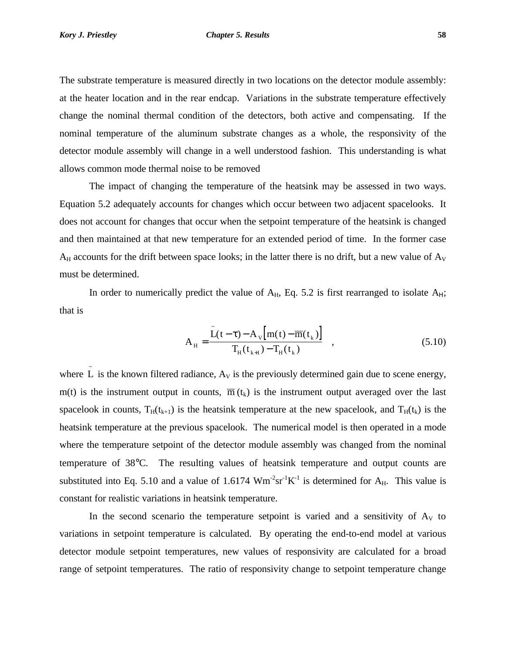<span id="page-14-0"></span>The substrate temperature is measured directly in two locations on the detector module assembly: at the heater location and in the rear endcap. Variations in the substrate temperature effectively change the nominal thermal condition of the detectors, both active and compensating. If the nominal temperature of the aluminum substrate changes as a whole, the responsivity of the detector module assembly will change in a well understood fashion. This understanding is what allows common mode thermal noise to be removed

The impact of changing the temperature of the heatsink may be assessed in two ways. Equation 5.2 adequately accounts for changes which occur between two adjacent spacelooks. It does not account for changes that occur when the setpoint temperature of the heatsink is changed and then maintained at that new temperature for an extended period of time. In the former case  $A_H$  accounts for the drift between space looks; in the latter there is no drift, but a new value of  $A_V$ must be determined.

In order to numerically predict the value of  $A_H$ , Eq. 5.2 is first rearranged to isolate  $A_H$ ; that is

$$
A_{H} = \frac{\tilde{L}(t-\tau) - A_{V}[m(t) - \overline{m}(t_{k})]}{T_{H}(t_{k+1}) - T_{H}(t_{k})}, \qquad (5.10)
$$

where  $\tilde{L}$  is the known filtered radiance,  $A_V$  is the previously determined gain due to scene energy, m(t) is the instrument output in counts,  $\overline{m}(t_k)$  is the instrument output averaged over the last spacelook in counts,  $T_H(t_{k+1})$  is the heatsink temperature at the new spacelook, and  $T_H(t_k)$  is the heatsink temperature at the previous spacelook. The numerical model is then operated in a mode where the temperature setpoint of the detector module assembly was changed from the nominal temperature of 38°C. The resulting values of heatsink temperature and output counts are substituted into Eq. 5.10 and a value of 1.6174  $Wm^{-2}sr^{-1}K^{-1}$  is determined for  $A_H$ . This value is constant for realistic variations in heatsink temperature.

In the second scenario the temperature setpoint is varied and a sensitivity of  $A_V$  to variations in setpoint temperature is calculated. By operating the end-to-end model at various detector module setpoint temperatures, new values of responsivity are calculated for a broad range of setpoint temperatures. The ratio of responsivity change to setpoint temperature change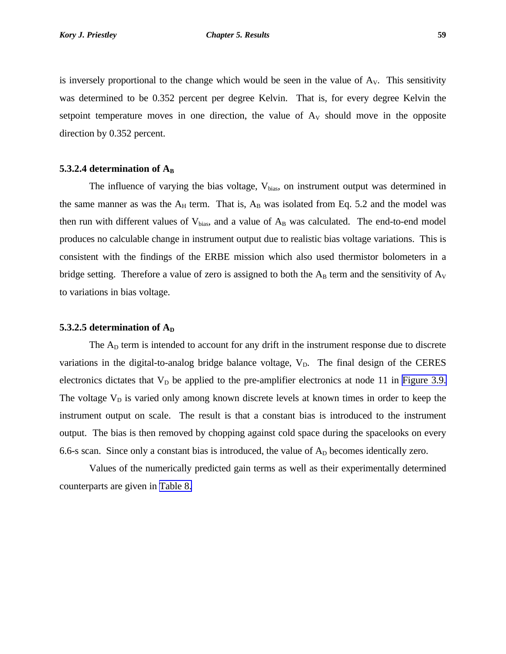<span id="page-15-0"></span>is inversely proportional to the change which would be seen in the value of  $A<sub>V</sub>$ . This sensitivity was determined to be 0.352 percent per degree Kelvin. That is, for every degree Kelvin the setpoint temperature moves in one direction, the value of  $A_V$  should move in the opposite direction by 0.352 percent.

## **5.3.2.4 determination of A<sup>B</sup>**

The influence of varying the bias voltage,  $V_{bias}$ , on instrument output was determined in the same manner as was the  $A_H$  term. That is,  $A_B$  was isolated from Eq. 5.2 and the model was then run with different values of  $V_{bias}$ , and a value of  $A_B$  was calculated. The end-to-end model produces no calculable change in instrument output due to realistic bias voltage variations. This is consistent with the findings of the ERBE mission which also used thermistor bolometers in a bridge setting. Therefore a value of zero is assigned to both the  $A_B$  term and the sensitivity of  $A_V$ to variations in bias voltage.

## **5.3.2.5 determination of**  $A<sub>D</sub>$

The  $A<sub>D</sub>$  term is intended to account for any drift in the instrument response due to discrete variations in the digital-to-analog bridge balance voltage,  $V<sub>D</sub>$ . The final design of the CERES electronics dictates that  $V_D$  be applied to the pre-amplifier electronics at node 11 in [Figure 3.9.](#page-16-0) The voltage  $V_D$  is varied only among known discrete levels at known times in order to keep the instrument output on scale. The result is that a constant bias is introduced to the instrument output. The bias is then removed by chopping against cold space during the spacelooks on every 6.6-s scan. Since only a constant bias is introduced, the value of  $A<sub>D</sub>$  becomes identically zero.

Values of the numerically predicted gain terms as well as their experimentally determined counterparts are given in [Table 8.](#page-7-0)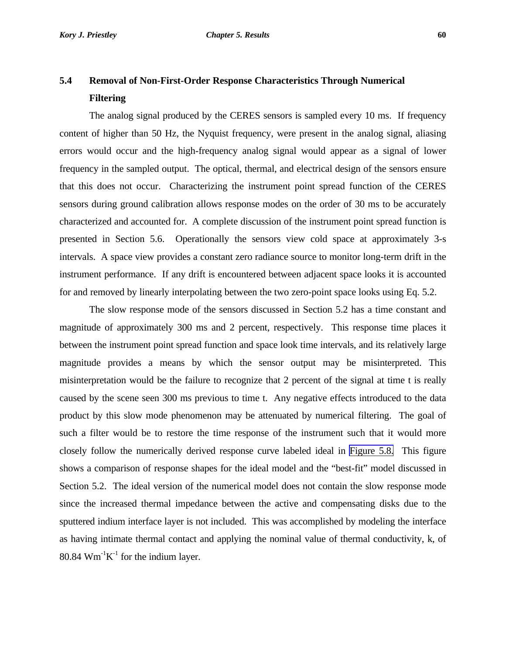## <span id="page-16-0"></span>**5.4 Removal of Non-First-Order Response Characteristics Through Numerical Filtering**

The analog signal produced by the CERES sensors is sampled every 10 ms. If frequency content of higher than 50 Hz, the Nyquist frequency, were present in the analog signal, aliasing errors would occur and the high-frequency analog signal would appear as a signal of lower frequency in the sampled output. The optical, thermal, and electrical design of the sensors ensure that this does not occur. Characterizing the instrument point spread function of the CERES sensors during ground calibration allows response modes on the order of 30 ms to be accurately characterized and accounted for. A complete discussion of the instrument point spread function is presented in Section 5.6. Operationally the sensors view cold space at approximately 3-s intervals. A space view provides a constant zero radiance source to monitor long-term drift in the instrument performance. If any drift is encountered between adjacent space looks it is accounted for and removed by linearly interpolating between the two zero-point space looks using Eq. 5.2.

The slow response mode of the sensors discussed in Section 5.2 has a time constant and magnitude of approximately 300 ms and 2 percent, respectively. This response time places it between the instrument point spread function and space look time intervals, and its relatively large magnitude provides a means by which the sensor output may be misinterpreted. This misinterpretation would be the failure to recognize that 2 percent of the signal at time t is really caused by the scene seen 300 ms previous to time t. Any negative effects introduced to the data product by this slow mode phenomenon may be attenuated by numerical filtering. The goal of such a filter would be to restore the time response of the instrument such that it would more closely follow the numerically derived response curve labeled ideal in [Figure 5.8.](#page-7-0) This figure shows a comparison of response shapes for the ideal model and the "best-fit" model discussed in Section 5.2. The ideal version of the numerical model does not contain the slow response mode since the increased thermal impedance between the active and compensating disks due to the sputtered indium interface layer is not included. This was accomplished by modeling the interface as having intimate thermal contact and applying the nominal value of thermal conductivity, k, of  $80.84$  Wm<sup>-1</sup>K<sup>-1</sup> for the indium layer.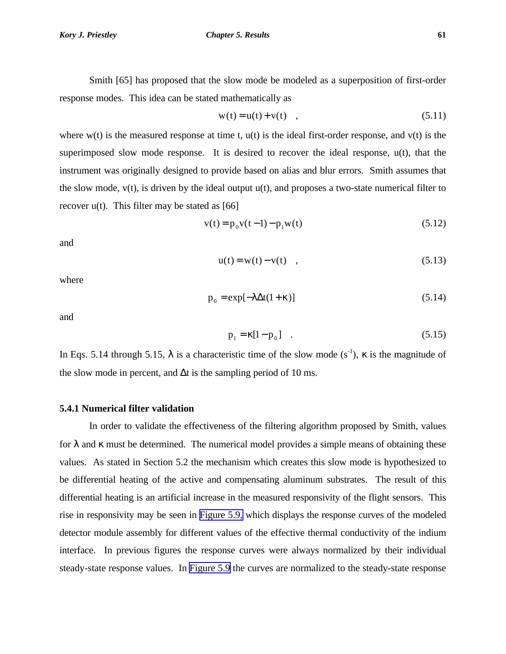<span id="page-17-0"></span>Smith [65] has proposed that the slow mode be modeled as a superposition of first-order response modes. This idea can be stated mathematically as

$$
w(t) = u(t) + v(t) \quad , \tag{5.11}
$$

where  $w(t)$  is the measured response at time t,  $u(t)$  is the ideal first-order response, and  $v(t)$  is the superimposed slow mode response. It is desired to recover the ideal response, u(t), that the instrument was originally designed to provide based on alias and blur errors. Smith assumes that the slow mode,  $v(t)$ , is driven by the ideal output  $u(t)$ , and proposes a two-state numerical filter to recover  $u(t)$ . This filter may be stated as [66]

$$
v(t) = p_0 v(t-1) - p_1 w(t)
$$
\n(5.12)

and

$$
u(t) = w(t) - v(t) \quad , \tag{5.13}
$$

where

$$
p_0 = \exp[-\lambda \Delta t (1 + \kappa)] \tag{5.14}
$$

and

$$
p_1 = \kappa [1 - p_0] \quad . \tag{5.15}
$$

In Eqs. 5.14 through 5.15,  $\lambda$  is a characteristic time of the slow mode (s<sup>-1</sup>),  $\kappa$  is the magnitude of the slow mode in percent, and  $\Delta t$  is the sampling period of 10 ms.

## **5.4.1 Numerical filter validation**

In order to validate the effectiveness of the filtering algorithm proposed by Smith, values for  $\lambda$  and  $\kappa$  must be determined. The numerical model provides a simple means of obtaining these values. As stated in Section 5.2 the mechanism which creates this slow mode is hypothesized to be differential heating of the active and compensating aluminum substrates. The result of this differential heating is an artificial increase in the measured responsivity of the flight sensors. This rise in responsivity may be seen in [Figure 5.9,](#page-8-0) which displays the response curves of the modeled detector module assembly for different values of the effective thermal conductivity of the indium interface. In previous figures the response curves were always normalized by their individual steady-state response values. In [Figure 5.9](#page-8-0) the curves are normalized to the steady-state response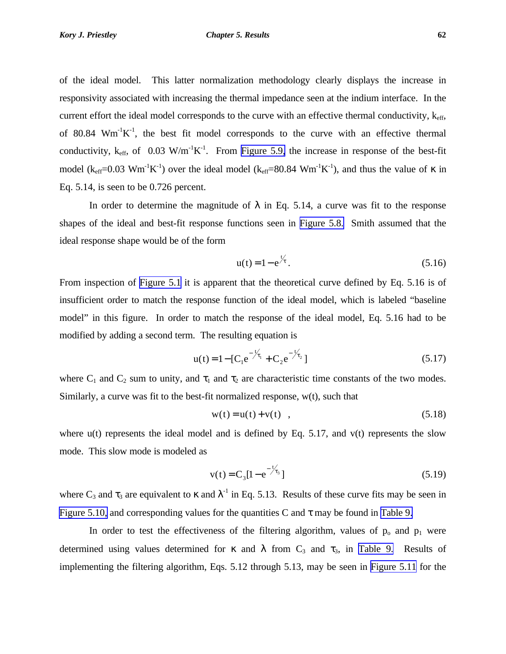<span id="page-18-0"></span>of the ideal model. This latter normalization methodology clearly displays the increase in responsivity associated with increasing the thermal impedance seen at the indium interface. In the current effort the ideal model corresponds to the curve with an effective thermal conductivity,  $k_{\text{eff}}$ , of 80.84  $\text{Wm}^{-1}\text{K}^{-1}$ , the best fit model corresponds to the curve with an effective thermal conductivity,  $k_{\text{eff}}$ , of 0.03 W/m<sup>-1</sup>K<sup>-1</sup>. From [Figure 5.9,](#page-8-0) the increase in response of the best-fit model ( $k_{eff}$ =0.03 Wm<sup>-1</sup>K<sup>-1</sup>) over the ideal model ( $k_{eff}$ =80.84 Wm<sup>-1</sup>K<sup>-1</sup>), and thus the value of  $\kappa$  in Eq. 5.14, is seen to be 0.726 percent.

In order to determine the magnitude of  $\lambda$  in Eq. 5.14, a curve was fit to the response shapes of the ideal and best-fit response functions seen in [Figure 5.8.](#page-7-0) Smith assumed that the ideal response shape would be of the form

$$
u(t) = 1 - e^{\frac{t}{\lambda}}.
$$
 (5.16)

From inspection of [Figure 5.1](#page-0-0) it is apparent that the theoretical curve defined by Eq. 5.16 is of insufficient order to match the response function of the ideal model, which is labeled "baseline model" in this figure. In order to match the response of the ideal model, Eq. 5.16 had to be modified by adding a second term. The resulting equation is

$$
u(t) = 1 - [C_1 e^{-\frac{t}{\tau_1}} + C_2 e^{-\frac{t}{\tau_2}}]
$$
\n(5.17)

where  $C_1$  and  $C_2$  sum to unity, and  $\tau_1$  and  $\tau_2$  are characteristic time constants of the two modes. Similarly, a curve was fit to the best-fit normalized response, w(t), such that

$$
w(t) = u(t) + v(t) , \t\t(5.18)
$$

where  $u(t)$  represents the ideal model and is defined by Eq. 5.17, and  $v(t)$  represents the slow mode. This slow mode is modeled as

$$
v(t) = C_3[1 - e^{-\frac{t}{\tau_s}}]
$$
\n(5.19)

where  $C_3$  and  $\tau_3$  are equivalent to  $\kappa$  and  $\lambda^{-1}$  in Eq. 5.13. Results of these curve fits may be seen in [Figure 5.10,](#page-9-0) and corresponding values for the quantities C and  $\tau$  may be found in [Table 9.](#page-8-0)

In order to test the effectiveness of the filtering algorithm, values of  $p_0$  and  $p_1$  were determined using values determined for  $\kappa$  and  $\lambda$  from C<sub>3</sub> and  $\tau_3$ , in [Table 9.](#page-8-0) Results of implementing the filtering algorithm, Eqs. 5.12 through 5.13, may be seen in [Figure 5.11](#page-10-0) for the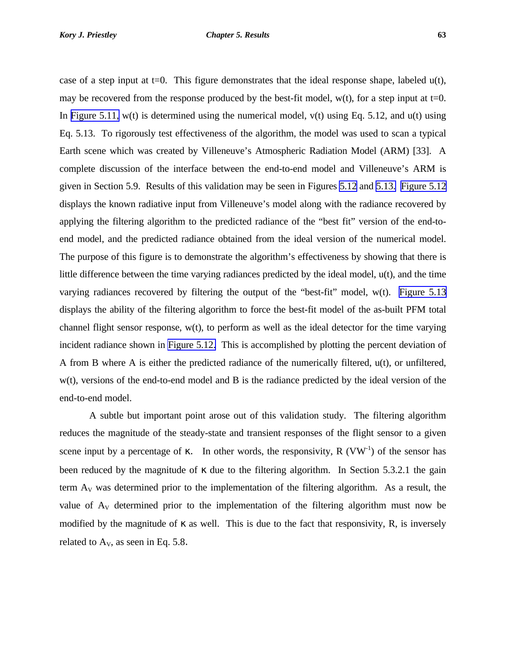<span id="page-19-0"></span>case of a step input at t=0. This figure demonstrates that the ideal response shape, labeled  $u(t)$ , may be recovered from the response produced by the best-fit model,  $w(t)$ , for a step input at t=0. In [Figure 5.11,](#page-10-0)  $w(t)$  is determined using the numerical model,  $v(t)$  using Eq. 5.12, and  $u(t)$  using Eq. 5.13. To rigorously test effectiveness of the algorithm, the model was used to scan a typical Earth scene which was created by Villeneuve's Atmospheric Radiation Model (ARM) [33]. A complete discussion of the interface between the end-to-end model and Villeneuve's ARM is given in Section 5.9. Results of this validation may be seen in Figures [5.12](#page-11-0) and [5.13.](#page-12-0) [Figure 5.12](#page-11-0) displays the known radiative input from Villeneuve's model along with the radiance recovered by applying the filtering algorithm to the predicted radiance of the "best fit" version of the end-toend model, and the predicted radiance obtained from the ideal version of the numerical model. The purpose of this figure is to demonstrate the algorithm's effectiveness by showing that there is little difference between the time varying radiances predicted by the ideal model, u(t), and the time varying radiances recovered by filtering the output of the "best-fit" model, w(t). [Figure 5.13](#page-12-0) displays the ability of the filtering algorithm to force the best-fit model of the as-built PFM total channel flight sensor response,  $w(t)$ , to perform as well as the ideal detector for the time varying incident radiance shown in [Figure 5.12.](#page-11-0) This is accomplished by plotting the percent deviation of A from B where A is either the predicted radiance of the numerically filtered, u(t), or unfiltered, w(t), versions of the end-to-end model and B is the radiance predicted by the ideal version of the end-to-end model.

A subtle but important point arose out of this validation study. The filtering algorithm reduces the magnitude of the steady-state and transient responses of the flight sensor to a given scene input by a percentage of  $\kappa$ . In other words, the responsivity, R (VW<sup>-1</sup>) of the sensor has been reduced by the magnitude of κ due to the filtering algorithm. In Section 5.3.2.1 the gain term  $A_V$  was determined prior to the implementation of the filtering algorithm. As a result, the value of  $A_V$  determined prior to the implementation of the filtering algorithm must now be modified by the magnitude of  $\kappa$  as well. This is due to the fact that responsivity, R, is inversely related to  $A_V$ , as seen in Eq. 5.8.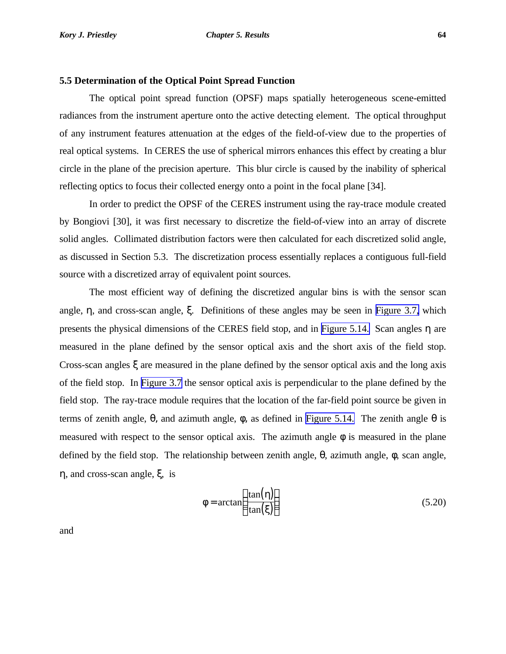<span id="page-20-0"></span>The optical point spread function (OPSF) maps spatially heterogeneous scene-emitted radiances from the instrument aperture onto the active detecting element. The optical throughput of any instrument features attenuation at the edges of the field-of-view due to the properties of real optical systems. In CERES the use of spherical mirrors enhances this effect by creating a blur circle in the plane of the precision aperture. This blur circle is caused by the inability of spherical reflecting optics to focus their collected energy onto a point in the focal plane [34].

In order to predict the OPSF of the CERES instrument using the ray-trace module created by Bongiovi [30], it was first necessary to discretize the field-of-view into an array of discrete solid angles. Collimated distribution factors were then calculated for each discretized solid angle, as discussed in Section 5.3. The discretization process essentially replaces a contiguous full-field source with a discretized array of equivalent point sources.

The most efficient way of defining the discretized angular bins is with the sensor scan angle, η, and cross-scan angle, ξ. Definitions of these angles may be seen in [Figure 3.7,](#page-14-0) which presents the physical dimensions of the CERES field stop, and in [Figure 5.14.](#page-0-0) Scan angles η are measured in the plane defined by the sensor optical axis and the short axis of the field stop. Cross-scan angles ξ are measured in the plane defined by the sensor optical axis and the long axis of the field stop. In [Figure 3.7](#page-14-0) the sensor optical axis is perpendicular to the plane defined by the field stop. The ray-trace module requires that the location of the far-field point source be given in terms of zenith angle,  $θ$ , and azimuth angle,  $φ$ , as defined in [Figure 5.14.](#page-0-0) The zenith angle  $θ$  is measured with respect to the sensor optical axis. The azimuth angle  $\phi$  is measured in the plane defined by the field stop. The relationship between zenith angle, θ, azimuth angle, φ, scan angle, η, and cross-scan angle, ξ, is

$$
\phi = \arctan\left(\frac{\tan(\eta)}{\tan(\xi)}\right) \tag{5.20}
$$

and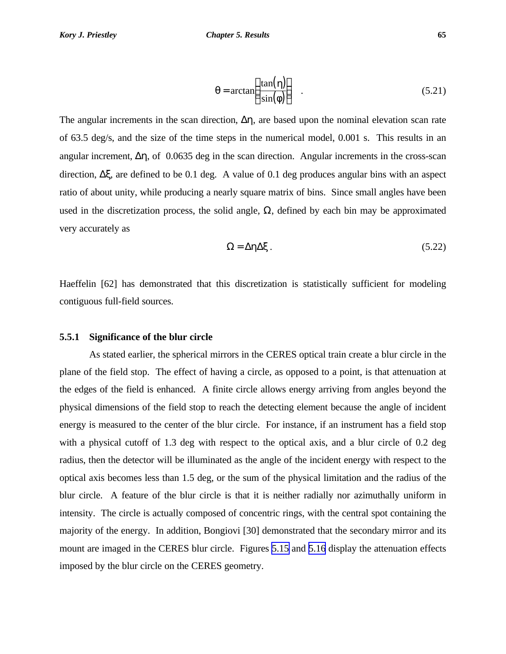$$
\theta = \arctan\left(\frac{\tan(\eta)}{\sin(\phi)}\right) \quad . \tag{5.21}
$$

<span id="page-21-0"></span>The angular increments in the scan direction,  $\Delta \eta$ , are based upon the nominal elevation scan rate of 63.5 deg/s, and the size of the time steps in the numerical model, 0.001 s. This results in an angular increment,  $\Delta \eta$ , of 0.0635 deg in the scan direction. Angular increments in the cross-scan direction, Δξ, are defined to be 0.1 deg. A value of 0.1 deg produces angular bins with an aspect ratio of about unity, while producing a nearly square matrix of bins. Since small angles have been used in the discretization process, the solid angle,  $\Omega$ , defined by each bin may be approximated very accurately as

$$
\Omega = \Delta \eta \Delta \xi \,. \tag{5.22}
$$

Haeffelin [62] has demonstrated that this discretization is statistically sufficient for modeling contiguous full-field sources.

### **5.5.1 Significance of the blur circle**

As stated earlier, the spherical mirrors in the CERES optical train create a blur circle in the plane of the field stop. The effect of having a circle, as opposed to a point, is that attenuation at the edges of the field is enhanced. A finite circle allows energy arriving from angles beyond the physical dimensions of the field stop to reach the detecting element because the angle of incident energy is measured to the center of the blur circle. For instance, if an instrument has a field stop with a physical cutoff of 1.3 deg with respect to the optical axis, and a blur circle of 0.2 deg radius, then the detector will be illuminated as the angle of the incident energy with respect to the optical axis becomes less than 1.5 deg, or the sum of the physical limitation and the radius of the blur circle. A feature of the blur circle is that it is neither radially nor azimuthally uniform in intensity. The circle is actually composed of concentric rings, with the central spot containing the majority of the energy. In addition, Bongiovi [30] demonstrated that the secondary mirror and its mount are imaged in the CERES blur circle. Figures [5.15](#page-1-0) and [5.16](#page-2-0) display the attenuation effects imposed by the blur circle on the CERES geometry.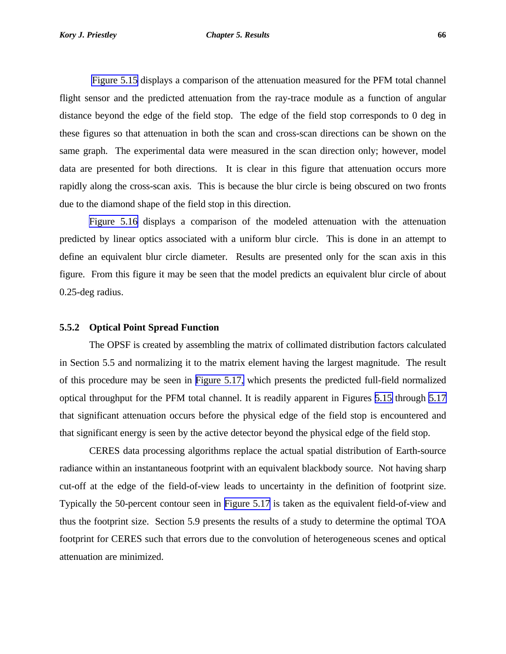<span id="page-22-0"></span> [Figure 5.15](#page-1-0) displays a comparison of the attenuation measured for the PFM total channel flight sensor and the predicted attenuation from the ray-trace module as a function of angular distance beyond the edge of the field stop. The edge of the field stop corresponds to 0 deg in these figures so that attenuation in both the scan and cross-scan directions can be shown on the same graph. The experimental data were measured in the scan direction only; however, model data are presented for both directions. It is clear in this figure that attenuation occurs more rapidly along the cross-scan axis. This is because the blur circle is being obscured on two fronts

[Figure 5.16](#page-2-0) displays a comparison of the modeled attenuation with the attenuation predicted by linear optics associated with a uniform blur circle. This is done in an attempt to define an equivalent blur circle diameter. Results are presented only for the scan axis in this figure. From this figure it may be seen that the model predicts an equivalent blur circle of about 0.25-deg radius.

### **5.5.2 Optical Point Spread Function**

due to the diamond shape of the field stop in this direction.

The OPSF is created by assembling the matrix of collimated distribution factors calculated in Section 5.5 and normalizing it to the matrix element having the largest magnitude. The result of this procedure may be seen in [Figure 5.17,](#page-3-0) which presents the predicted full-field normalized optical throughput for the PFM total channel. It is readily apparent in Figures [5.15](#page-1-0) through [5.17](#page-3-0) that significant attenuation occurs before the physical edge of the field stop is encountered and that significant energy is seen by the active detector beyond the physical edge of the field stop.

CERES data processing algorithms replace the actual spatial distribution of Earth-source radiance within an instantaneous footprint with an equivalent blackbody source. Not having sharp cut-off at the edge of the field-of-view leads to uncertainty in the definition of footprint size. Typically the 50-percent contour seen in [Figure 5.17](#page-3-0) is taken as the equivalent field-of-view and thus the footprint size. Section 5.9 presents the results of a study to determine the optimal TOA footprint for CERES such that errors due to the convolution of heterogeneous scenes and optical attenuation are minimized.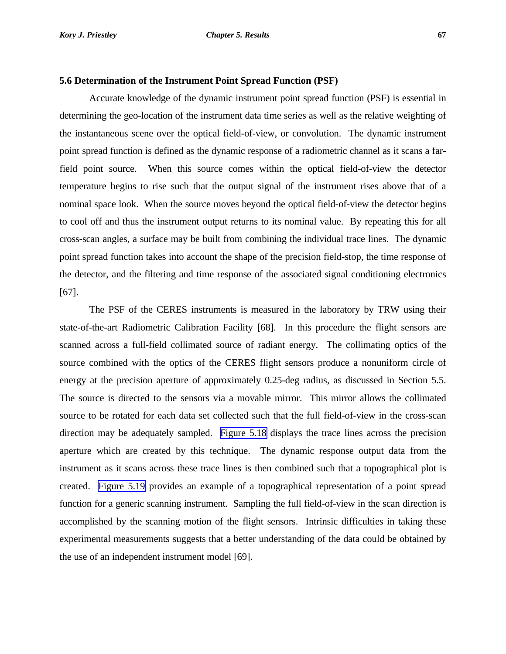#### <span id="page-23-0"></span>**5.6 Determination of the Instrument Point Spread Function (PSF)**

Accurate knowledge of the dynamic instrument point spread function (PSF) is essential in determining the geo-location of the instrument data time series as well as the relative weighting of the instantaneous scene over the optical field-of-view, or convolution. The dynamic instrument point spread function is defined as the dynamic response of a radiometric channel as it scans a farfield point source. When this source comes within the optical field-of-view the detector temperature begins to rise such that the output signal of the instrument rises above that of a nominal space look. When the source moves beyond the optical field-of-view the detector begins to cool off and thus the instrument output returns to its nominal value. By repeating this for all cross-scan angles, a surface may be built from combining the individual trace lines. The dynamic point spread function takes into account the shape of the precision field-stop, the time response of the detector, and the filtering and time response of the associated signal conditioning electronics [67].

The PSF of the CERES instruments is measured in the laboratory by TRW using their state-of-the-art Radiometric Calibration Facility [68]. In this procedure the flight sensors are scanned across a full-field collimated source of radiant energy. The collimating optics of the source combined with the optics of the CERES flight sensors produce a nonuniform circle of energy at the precision aperture of approximately 0.25-deg radius, as discussed in Section 5.5. The source is directed to the sensors via a movable mirror. This mirror allows the collimated source to be rotated for each data set collected such that the full field-of-view in the cross-scan direction may be adequately sampled. [Figure 5.18](#page-4-0) displays the trace lines across the precision aperture which are created by this technique. The dynamic response output data from the instrument as it scans across these trace lines is then combined such that a topographical plot is created. [Figure 5.19](#page-5-0) provides an example of a topographical representation of a point spread function for a generic scanning instrument. Sampling the full field-of-view in the scan direction is accomplished by the scanning motion of the flight sensors. Intrinsic difficulties in taking these experimental measurements suggests that a better understanding of the data could be obtained by the use of an independent instrument model [69].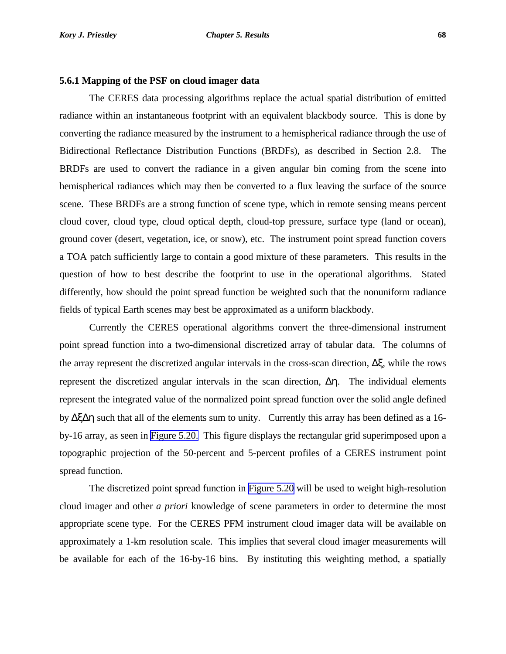#### **5.6.1 Mapping of the PSF on cloud imager data**

The CERES data processing algorithms replace the actual spatial distribution of emitted radiance within an instantaneous footprint with an equivalent blackbody source. This is done by converting the radiance measured by the instrument to a hemispherical radiance through the use of Bidirectional Reflectance Distribution Functions (BRDFs), as described in Section 2.8. The BRDFs are used to convert the radiance in a given angular bin coming from the scene into hemispherical radiances which may then be converted to a flux leaving the surface of the source scene. These BRDFs are a strong function of scene type, which in remote sensing means percent cloud cover, cloud type, cloud optical depth, cloud-top pressure, surface type (land or ocean), ground cover (desert, vegetation, ice, or snow), etc. The instrument point spread function covers a TOA patch sufficiently large to contain a good mixture of these parameters. This results in the question of how to best describe the footprint to use in the operational algorithms. Stated differently, how should the point spread function be weighted such that the nonuniform radiance fields of typical Earth scenes may best be approximated as a uniform blackbody.

Currently the CERES operational algorithms convert the three-dimensional instrument point spread function into a two-dimensional discretized array of tabular data. The columns of the array represent the discretized angular intervals in the cross-scan direction, Δξ, while the rows represent the discretized angular intervals in the scan direction, Δη. The individual elements represent the integrated value of the normalized point spread function over the solid angle defined by ΔξΔη such that all of the elements sum to unity. Currently this array has been defined as a 16 by-16 array, as seen in [Figure 5.20.](#page-6-0) This figure displays the rectangular grid superimposed upon a topographic projection of the 50-percent and 5-percent profiles of a CERES instrument point spread function.

The discretized point spread function in [Figure 5.20](#page-6-0) will be used to weight high-resolution cloud imager and other *a priori* knowledge of scene parameters in order to determine the most appropriate scene type. For the CERES PFM instrument cloud imager data will be available on approximately a 1-km resolution scale. This implies that several cloud imager measurements will be available for each of the 16-by-16 bins. By instituting this weighting method, a spatially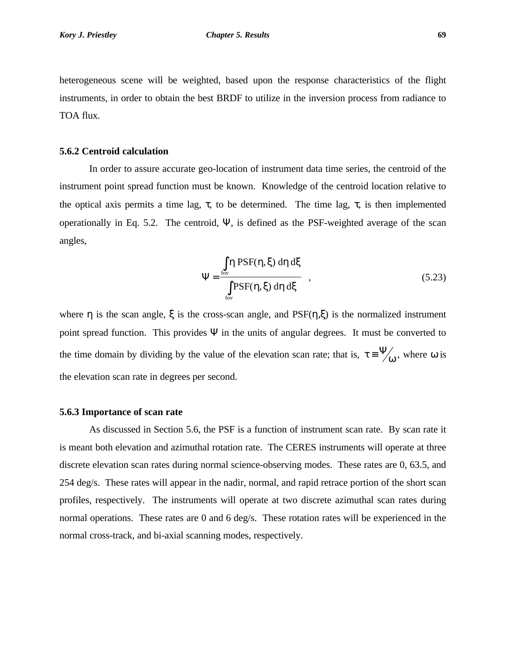heterogeneous scene will be weighted, based upon the response characteristics of the flight instruments, in order to obtain the best BRDF to utilize in the inversion process from radiance to TOA flux.

#### **5.6.2 Centroid calculation**

In order to assure accurate geo-location of instrument data time series, the centroid of the instrument point spread function must be known. Knowledge of the centroid location relative to the optical axis permits a time lag,  $\tau$ , to be determined. The time lag,  $\tau$ , is then implemented operationally in Eq. 5.2. The centroid, Ψ, is defined as the PSF-weighted average of the scan angles,

$$
\Psi = \frac{\int_{\text{fov}} \eta \, \text{PSF}(\eta, \xi) \, \text{d}\eta \, \text{d}\xi}{\int_{\text{fov}} \text{PSF}(\eta, \xi) \, \text{d}\eta \, \text{d}\xi} \tag{5.23}
$$

where  $\eta$  is the scan angle,  $\xi$  is the cross-scan angle, and PSF( $\eta$ , $\xi$ ) is the normalized instrument point spread function. This provides  $\Psi$  in the units of angular degrees. It must be converted to the time domain by dividing by the value of the elevation scan rate; that is,  $\tau = \frac{\Psi}{\omega}$ , where  $\omega$  is the elevation scan rate in degrees per second.

#### **5.6.3 Importance of scan rate**

As discussed in Section 5.6, the PSF is a function of instrument scan rate. By scan rate it is meant both elevation and azimuthal rotation rate. The CERES instruments will operate at three discrete elevation scan rates during normal science-observing modes. These rates are 0, 63.5, and 254 deg/s. These rates will appear in the nadir, normal, and rapid retrace portion of the short scan profiles, respectively. The instruments will operate at two discrete azimuthal scan rates during normal operations. These rates are 0 and 6 deg/s. These rotation rates will be experienced in the normal cross-track, and bi-axial scanning modes, respectively.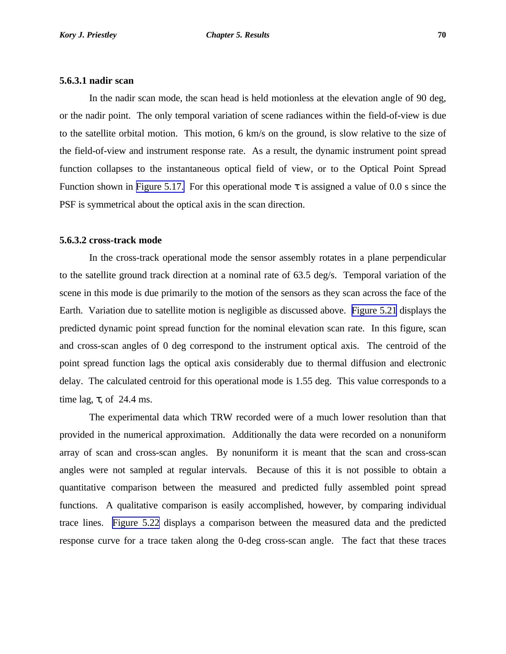#### **5.6.3.1 nadir scan**

In the nadir scan mode, the scan head is held motionless at the elevation angle of 90 deg, or the nadir point. The only temporal variation of scene radiances within the field-of-view is due to the satellite orbital motion. This motion, 6 km/s on the ground, is slow relative to the size of the field-of-view and instrument response rate. As a result, the dynamic instrument point spread function collapses to the instantaneous optical field of view, or to the Optical Point Spread Function shown in [Figure 5.17.](#page-3-0) For this operational mode  $\tau$  is assigned a value of 0.0 s since the PSF is symmetrical about the optical axis in the scan direction.

### **5.6.3.2 cross-track mode**

In the cross-track operational mode the sensor assembly rotates in a plane perpendicular to the satellite ground track direction at a nominal rate of 63.5 deg/s. Temporal variation of the scene in this mode is due primarily to the motion of the sensors as they scan across the face of the Earth. Variation due to satellite motion is negligible as discussed above. [Figure 5.21](#page-7-0) displays the predicted dynamic point spread function for the nominal elevation scan rate. In this figure, scan and cross-scan angles of 0 deg correspond to the instrument optical axis. The centroid of the point spread function lags the optical axis considerably due to thermal diffusion and electronic delay. The calculated centroid for this operational mode is 1.55 deg. This value corresponds to a time lag,  $\tau$ , of 24.4 ms.

The experimental data which TRW recorded were of a much lower resolution than that provided in the numerical approximation. Additionally the data were recorded on a nonuniform array of scan and cross-scan angles. By nonuniform it is meant that the scan and cross-scan angles were not sampled at regular intervals. Because of this it is not possible to obtain a quantitative comparison between the measured and predicted fully assembled point spread functions. A qualitative comparison is easily accomplished, however, by comparing individual trace lines. [Figure 5.22](#page-8-0) displays a comparison between the measured data and the predicted response curve for a trace taken along the 0-deg cross-scan angle. The fact that these traces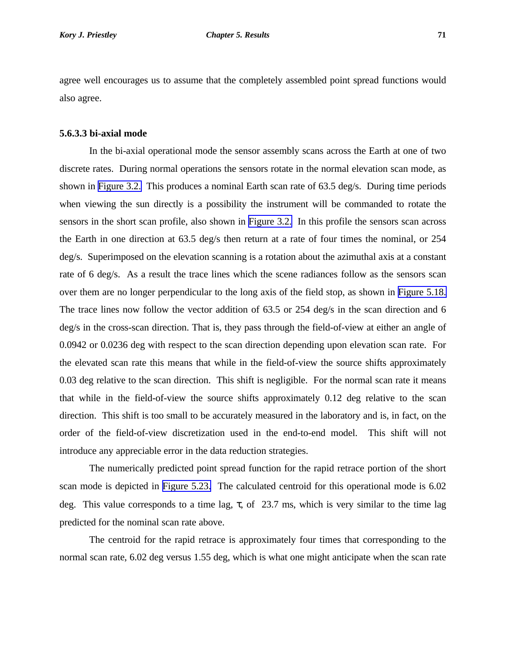agree well encourages us to assume that the completely assembled point spread functions would also agree.

## **5.6.3.3 bi-axial mode**

In the bi-axial operational mode the sensor assembly scans across the Earth at one of two discrete rates. During normal operations the sensors rotate in the normal elevation scan mode, as shown in [Figure 3.2.](#page-9-0) This produces a nominal Earth scan rate of 63.5 deg/s. During time periods when viewing the sun directly is a possibility the instrument will be commanded to rotate the sensors in the short scan profile, also shown in [Figure 3.2.](#page-9-0) In this profile the sensors scan across the Earth in one direction at 63.5 deg/s then return at a rate of four times the nominal, or 254 deg/s. Superimposed on the elevation scanning is a rotation about the azimuthal axis at a constant rate of 6 deg/s. As a result the trace lines which the scene radiances follow as the sensors scan over them are no longer perpendicular to the long axis of the field stop, as shown in [Figure 5.18.](#page-4-0) The trace lines now follow the vector addition of 63.5 or 254 deg/s in the scan direction and 6 deg/s in the cross-scan direction. That is, they pass through the field-of-view at either an angle of 0.0942 or 0.0236 deg with respect to the scan direction depending upon elevation scan rate. For the elevated scan rate this means that while in the field-of-view the source shifts approximately 0.03 deg relative to the scan direction. This shift is negligible. For the normal scan rate it means that while in the field-of-view the source shifts approximately 0.12 deg relative to the scan direction. This shift is too small to be accurately measured in the laboratory and is, in fact, on the order of the field-of-view discretization used in the end-to-end model. This shift will not introduce any appreciable error in the data reduction strategies.

The numerically predicted point spread function for the rapid retrace portion of the short scan mode is depicted in [Figure 5.23.](#page-9-0) The calculated centroid for this operational mode is 6.02 deg. This value corresponds to a time lag,  $\tau$ , of 23.7 ms, which is very similar to the time lag predicted for the nominal scan rate above.

The centroid for the rapid retrace is approximately four times that corresponding to the normal scan rate, 6.02 deg versus 1.55 deg, which is what one might anticipate when the scan rate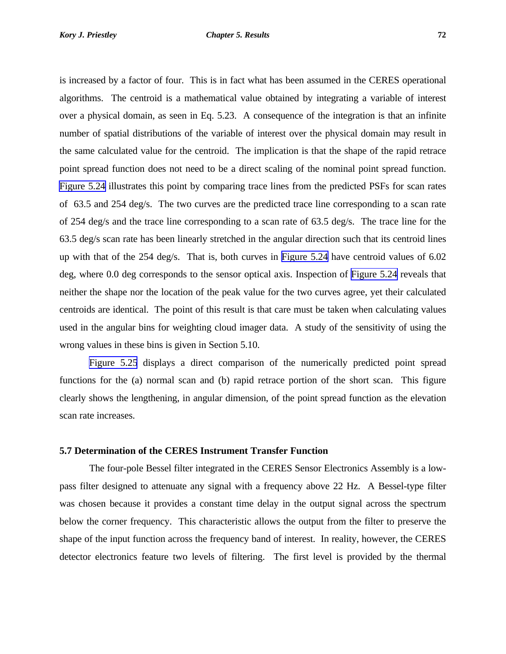is increased by a factor of four. This is in fact what has been assumed in the CERES operational algorithms. The centroid is a mathematical value obtained by integrating a variable of interest over a physical domain, as seen in Eq. 5.23. A consequence of the integration is that an infinite number of spatial distributions of the variable of interest over the physical domain may result in the same calculated value for the centroid. The implication is that the shape of the rapid retrace point spread function does not need to be a direct scaling of the nominal point spread function. [Figure 5.24](#page-10-0) illustrates this point by comparing trace lines from the predicted PSFs for scan rates of 63.5 and 254 deg/s. The two curves are the predicted trace line corresponding to a scan rate of 254 deg/s and the trace line corresponding to a scan rate of 63.5 deg/s. The trace line for the 63.5 deg/s scan rate has been linearly stretched in the angular direction such that its centroid lines up with that of the 254 deg/s. That is, both curves in [Figure 5.24](#page-10-0) have centroid values of 6.02 deg, where 0.0 deg corresponds to the sensor optical axis. Inspection of [Figure 5.24](#page-10-0) reveals that neither the shape nor the location of the peak value for the two curves agree, yet their calculated centroids are identical. The point of this result is that care must be taken when calculating values used in the angular bins for weighting cloud imager data. A study of the sensitivity of using the wrong values in these bins is given in Section 5.10.

[Figure 5.25](#page-11-0) displays a direct comparison of the numerically predicted point spread functions for the (a) normal scan and (b) rapid retrace portion of the short scan. This figure clearly shows the lengthening, in angular dimension, of the point spread function as the elevation scan rate increases.

### **5.7 Determination of the CERES Instrument Transfer Function**

The four-pole Bessel filter integrated in the CERES Sensor Electronics Assembly is a lowpass filter designed to attenuate any signal with a frequency above 22 Hz. A Bessel-type filter was chosen because it provides a constant time delay in the output signal across the spectrum below the corner frequency. This characteristic allows the output from the filter to preserve the shape of the input function across the frequency band of interest. In reality, however, the CERES detector electronics feature two levels of filtering. The first level is provided by the thermal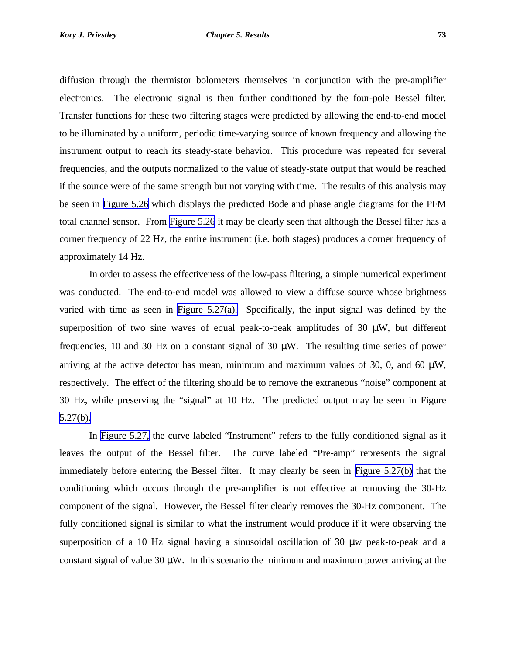diffusion through the thermistor bolometers themselves in conjunction with the pre-amplifier electronics. The electronic signal is then further conditioned by the four-pole Bessel filter. Transfer functions for these two filtering stages were predicted by allowing the end-to-end model to be illuminated by a uniform, periodic time-varying source of known frequency and allowing the instrument output to reach its steady-state behavior. This procedure was repeated for several frequencies, and the outputs normalized to the value of steady-state output that would be reached if the source were of the same strength but not varying with time. The results of this analysis may be seen in [Figure 5.26](#page-12-0) which displays the predicted Bode and phase angle diagrams for the PFM total channel sensor. From [Figure 5.26](#page-12-0) it may be clearly seen that although the Bessel filter has a corner frequency of 22 Hz, the entire instrument (i.e. both stages) produces a corner frequency of approximately 14 Hz.

In order to assess the effectiveness of the low-pass filtering, a simple numerical experiment was conducted. The end-to-end model was allowed to view a diffuse source whose brightness varied with time as seen in [Figure 5.27\(a\).](#page-13-0) Specifically, the input signal was defined by the superposition of two sine waves of equal peak-to-peak amplitudes of 30  $\mu$ W, but different frequencies, 10 and 30 Hz on a constant signal of 30  $\mu$ W. The resulting time series of power arriving at the active detector has mean, minimum and maximum values of 30, 0, and 60  $\mu$ W, respectively. The effect of the filtering should be to remove the extraneous "noise" component at 30 Hz, while preserving the "signal" at 10 Hz. The predicted output may be seen in Figure [5.27\(b\).](#page-13-0)

In [Figure 5.27,](#page-13-0) the curve labeled "Instrument" refers to the fully conditioned signal as it leaves the output of the Bessel filter. The curve labeled "Pre-amp" represents the signal immediately before entering the Bessel filter. It may clearly be seen in [Figure 5.27\(b\)](#page-13-0) that the conditioning which occurs through the pre-amplifier is not effective at removing the 30-Hz component of the signal. However, the Bessel filter clearly removes the 30-Hz component. The fully conditioned signal is similar to what the instrument would produce if it were observing the superposition of a 10 Hz signal having a sinusoidal oscillation of 30 μw peak-to-peak and a constant signal of value 30  $\mu$ W. In this scenario the minimum and maximum power arriving at the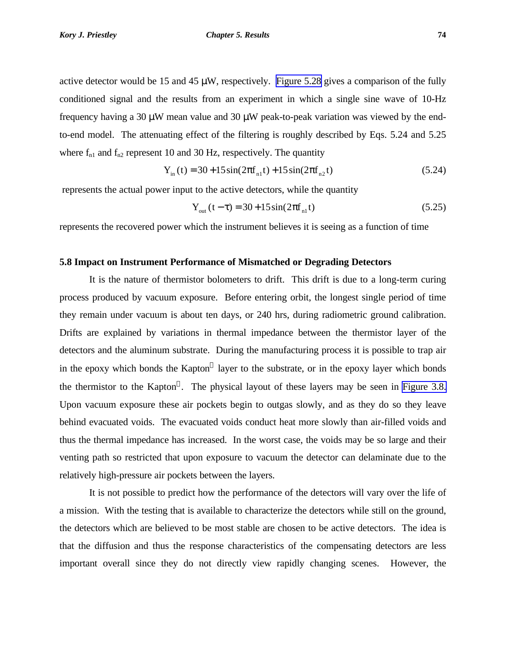active detector would be 15 and 45 μW, respectively. [Figure 5.28](#page-14-0) gives a comparison of the fully conditioned signal and the results from an experiment in which a single sine wave of 10-Hz frequency having a 30 μW mean value and 30 μW peak-to-peak variation was viewed by the endto-end model. The attenuating effect of the filtering is roughly described by Eqs. 5.24 and 5.25 where  $f_{n1}$  and  $f_{n2}$  represent 10 and 30 Hz, respectively. The quantity

$$
Y_{in}(t) = 30 + 15\sin(2\pi f_{n1}t) + 15\sin(2\pi f_{n2}t)
$$
\n(5.24)

represents the actual power input to the active detectors, while the quantity

$$
Y_{out}(t-\tau) = 30 + 15\sin(2\pi f_{n1}t)
$$
\n(5.25)

represents the recovered power which the instrument believes it is seeing as a function of time

### **5.8 Impact on Instrument Performance of Mismatched or Degrading Detectors**

It is the nature of thermistor bolometers to drift. This drift is due to a long-term curing process produced by vacuum exposure. Before entering orbit, the longest single period of time they remain under vacuum is about ten days, or 240 hrs, during radiometric ground calibration. Drifts are explained by variations in thermal impedance between the thermistor layer of the detectors and the aluminum substrate. During the manufacturing process it is possible to trap air in the epoxy which bonds the Kapton® layer to the substrate, or in the epoxy layer which bonds the thermistor to the Kapton<sup>®</sup>. The physical layout of these layers may be seen in [Figure 3.8.](#page-15-0) Upon vacuum exposure these air pockets begin to outgas slowly, and as they do so they leave behind evacuated voids. The evacuated voids conduct heat more slowly than air-filled voids and thus the thermal impedance has increased. In the worst case, the voids may be so large and their venting path so restricted that upon exposure to vacuum the detector can delaminate due to the relatively high-pressure air pockets between the layers.

It is not possible to predict how the performance of the detectors will vary over the life of a mission. With the testing that is available to characterize the detectors while still on the ground, the detectors which are believed to be most stable are chosen to be active detectors. The idea is that the diffusion and thus the response characteristics of the compensating detectors are less important overall since they do not directly view rapidly changing scenes. However, the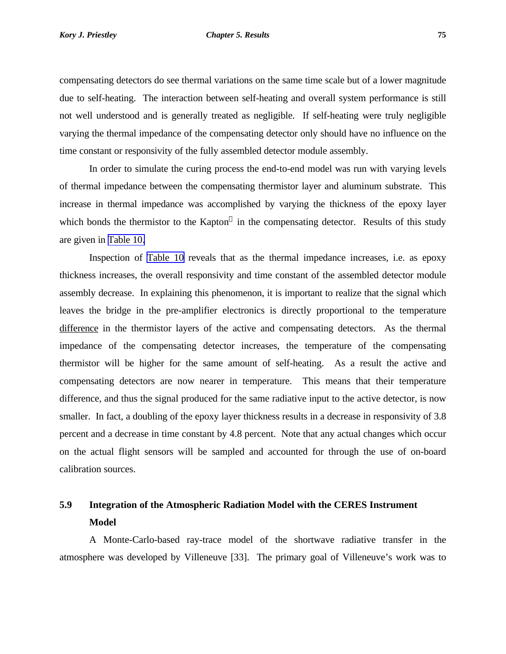compensating detectors do see thermal variations on the same time scale but of a lower magnitude due to self-heating. The interaction between self-heating and overall system performance is still not well understood and is generally treated as negligible. If self-heating were truly negligible varying the thermal impedance of the compensating detector only should have no influence on the time constant or responsivity of the fully assembled detector module assembly.

In order to simulate the curing process the end-to-end model was run with varying levels of thermal impedance between the compensating thermistor layer and aluminum substrate. This increase in thermal impedance was accomplished by varying the thickness of the epoxy layer which bonds the thermistor to the Kapton $^{\circledR}$  in the compensating detector. Results of this study are given in [Table 10.](#page-9-0)

Inspection of [Table 10](#page-9-0) reveals that as the thermal impedance increases, i.e. as epoxy thickness increases, the overall responsivity and time constant of the assembled detector module assembly decrease. In explaining this phenomenon, it is important to realize that the signal which leaves the bridge in the pre-amplifier electronics is directly proportional to the temperature difference in the thermistor layers of the active and compensating detectors. As the thermal impedance of the compensating detector increases, the temperature of the compensating thermistor will be higher for the same amount of self-heating. As a result the active and compensating detectors are now nearer in temperature. This means that their temperature difference, and thus the signal produced for the same radiative input to the active detector, is now smaller. In fact, a doubling of the epoxy layer thickness results in a decrease in responsivity of 3.8 percent and a decrease in time constant by 4.8 percent. Note that any actual changes which occur on the actual flight sensors will be sampled and accounted for through the use of on-board calibration sources.

## **5.9 Integration of the Atmospheric Radiation Model with the CERES Instrument Model**

A Monte-Carlo-based ray-trace model of the shortwave radiative transfer in the atmosphere was developed by Villeneuve [33]. The primary goal of Villeneuve's work was to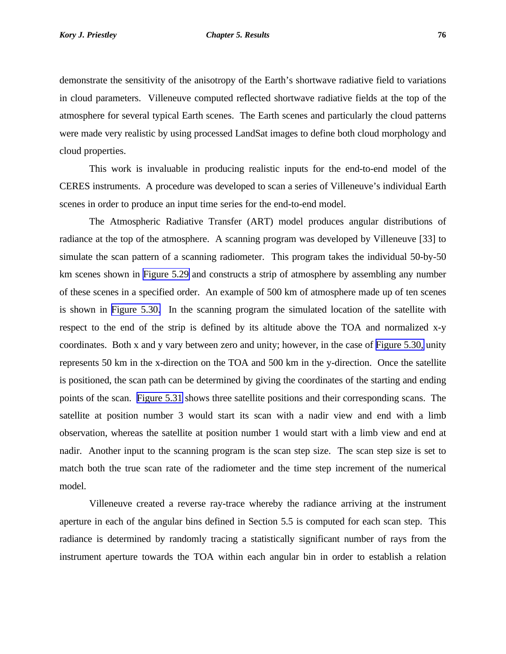demonstrate the sensitivity of the anisotropy of the Earth's shortwave radiative field to variations in cloud parameters. Villeneuve computed reflected shortwave radiative fields at the top of the atmosphere for several typical Earth scenes. The Earth scenes and particularly the cloud patterns were made very realistic by using processed LandSat images to define both cloud morphology and cloud properties.

This work is invaluable in producing realistic inputs for the end-to-end model of the CERES instruments. A procedure was developed to scan a series of Villeneuve's individual Earth scenes in order to produce an input time series for the end-to-end model.

The Atmospheric Radiative Transfer (ART) model produces angular distributions of radiance at the top of the atmosphere. A scanning program was developed by Villeneuve [33] to simulate the scan pattern of a scanning radiometer. This program takes the individual 50-by-50 km scenes shown in [Figure 5.29](#page-15-0) and constructs a strip of atmosphere by assembling any number of these scenes in a specified order. An example of 500 km of atmosphere made up of ten scenes is shown in [Figure 5.30.](#page-16-0) In the scanning program the simulated location of the satellite with respect to the end of the strip is defined by its altitude above the TOA and normalized x-y coordinates. Both x and y vary between zero and unity; however, in the case of [Figure 5.30,](#page-16-0) unity represents 50 km in the x-direction on the TOA and 500 km in the y-direction. Once the satellite is positioned, the scan path can be determined by giving the coordinates of the starting and ending points of the scan. [Figure 5.31](#page-17-0) shows three satellite positions and their corresponding scans. The satellite at position number 3 would start its scan with a nadir view and end with a limb observation, whereas the satellite at position number 1 would start with a limb view and end at nadir. Another input to the scanning program is the scan step size. The scan step size is set to match both the true scan rate of the radiometer and the time step increment of the numerical model.

Villeneuve created a reverse ray-trace whereby the radiance arriving at the instrument aperture in each of the angular bins defined in Section 5.5 is computed for each scan step. This radiance is determined by randomly tracing a statistically significant number of rays from the instrument aperture towards the TOA within each angular bin in order to establish a relation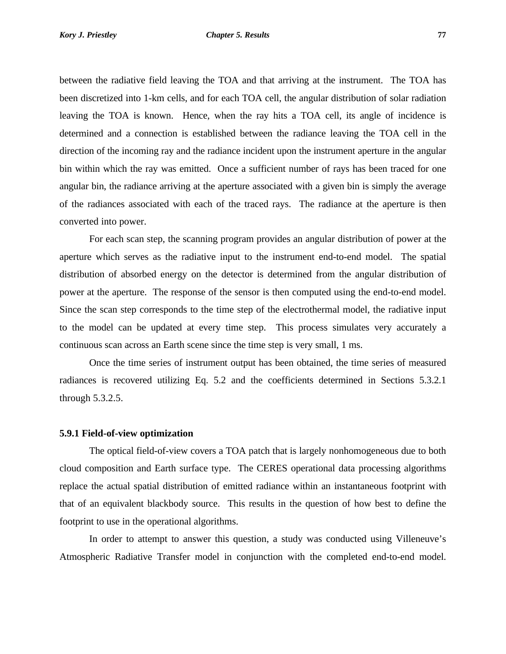between the radiative field leaving the TOA and that arriving at the instrument. The TOA has been discretized into 1-km cells, and for each TOA cell, the angular distribution of solar radiation leaving the TOA is known. Hence, when the ray hits a TOA cell, its angle of incidence is determined and a connection is established between the radiance leaving the TOA cell in the direction of the incoming ray and the radiance incident upon the instrument aperture in the angular bin within which the ray was emitted. Once a sufficient number of rays has been traced for one angular bin, the radiance arriving at the aperture associated with a given bin is simply the average of the radiances associated with each of the traced rays. The radiance at the aperture is then converted into power.

For each scan step, the scanning program provides an angular distribution of power at the aperture which serves as the radiative input to the instrument end-to-end model. The spatial distribution of absorbed energy on the detector is determined from the angular distribution of power at the aperture. The response of the sensor is then computed using the end-to-end model. Since the scan step corresponds to the time step of the electrothermal model, the radiative input to the model can be updated at every time step. This process simulates very accurately a continuous scan across an Earth scene since the time step is very small, 1 ms.

Once the time series of instrument output has been obtained, the time series of measured radiances is recovered utilizing Eq. 5.2 and the coefficients determined in Sections 5.3.2.1 through 5.3.2.5.

#### **5.9.1 Field-of-view optimization**

The optical field-of-view covers a TOA patch that is largely nonhomogeneous due to both cloud composition and Earth surface type. The CERES operational data processing algorithms replace the actual spatial distribution of emitted radiance within an instantaneous footprint with that of an equivalent blackbody source. This results in the question of how best to define the footprint to use in the operational algorithms.

In order to attempt to answer this question, a study was conducted using Villeneuve's Atmospheric Radiative Transfer model in conjunction with the completed end-to-end model.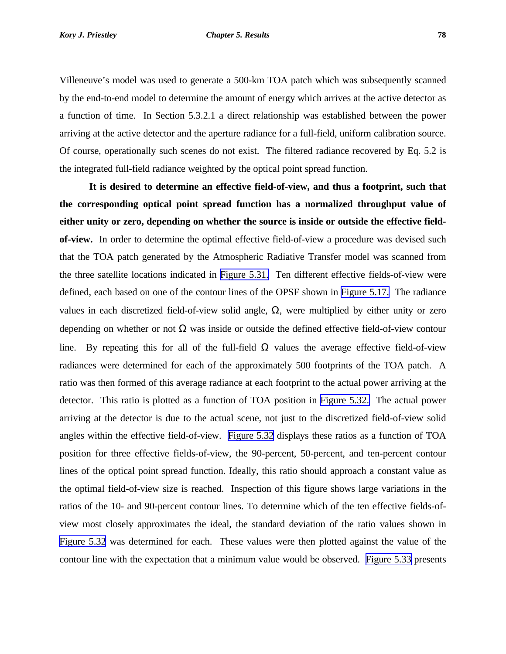Villeneuve's model was used to generate a 500-km TOA patch which was subsequently scanned by the end-to-end model to determine the amount of energy which arrives at the active detector as a function of time. In Section 5.3.2.1 a direct relationship was established between the power arriving at the active detector and the aperture radiance for a full-field, uniform calibration source. Of course, operationally such scenes do not exist. The filtered radiance recovered by Eq. 5.2 is the integrated full-field radiance weighted by the optical point spread function.

**It is desired to determine an effective field-of-view, and thus a footprint, such that the corresponding optical point spread function has a normalized throughput value of either unity or zero, depending on whether the source is inside or outside the effective fieldof-view.** In order to determine the optimal effective field-of-view a procedure was devised such that the TOA patch generated by the Atmospheric Radiative Transfer model was scanned from the three satellite locations indicated in [Figure 5.31.](#page-17-0) Ten different effective fields-of-view were defined, each based on one of the contour lines of the OPSF shown in [Figure 5.17.](#page-3-0) The radiance values in each discretized field-of-view solid angle, Ω, were multiplied by either unity or zero depending on whether or not  $\Omega$  was inside or outside the defined effective field-of-view contour line. By repeating this for all of the full-field  $\Omega$  values the average effective field-of-view radiances were determined for each of the approximately 500 footprints of the TOA patch. A ratio was then formed of this average radiance at each footprint to the actual power arriving at the detector. This ratio is plotted as a function of TOA position in [Figure 5.32.](#page-18-0) The actual power arriving at the detector is due to the actual scene, not just to the discretized field-of-view solid angles within the effective field-of-view. [Figure 5.32](#page-18-0) displays these ratios as a function of TOA position for three effective fields-of-view, the 90-percent, 50-percent, and ten-percent contour lines of the optical point spread function. Ideally, this ratio should approach a constant value as the optimal field-of-view size is reached. Inspection of this figure shows large variations in the ratios of the 10- and 90-percent contour lines. To determine which of the ten effective fields-ofview most closely approximates the ideal, the standard deviation of the ratio values shown in [Figure 5.32](#page-18-0) was determined for each. These values were then plotted against the value of the contour line with the expectation that a minimum value would be observed. [Figure 5.33](#page-19-0) presents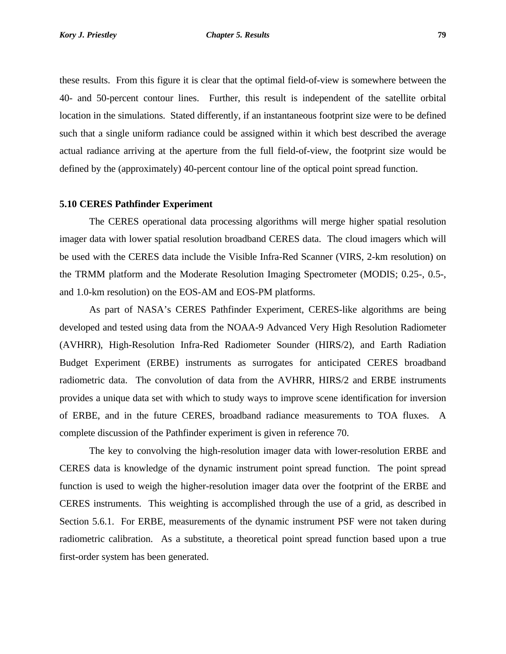these results. From this figure it is clear that the optimal field-of-view is somewhere between the 40- and 50-percent contour lines. Further, this result is independent of the satellite orbital location in the simulations. Stated differently, if an instantaneous footprint size were to be defined such that a single uniform radiance could be assigned within it which best described the average actual radiance arriving at the aperture from the full field-of-view, the footprint size would be defined by the (approximately) 40-percent contour line of the optical point spread function.

#### **5.10 CERES Pathfinder Experiment**

The CERES operational data processing algorithms will merge higher spatial resolution imager data with lower spatial resolution broadband CERES data. The cloud imagers which will be used with the CERES data include the Visible Infra-Red Scanner (VIRS, 2-km resolution) on the TRMM platform and the Moderate Resolution Imaging Spectrometer (MODIS; 0.25-, 0.5-, and 1.0-km resolution) on the EOS-AM and EOS-PM platforms.

As part of NASA's CERES Pathfinder Experiment, CERES-like algorithms are being developed and tested using data from the NOAA-9 Advanced Very High Resolution Radiometer (AVHRR), High-Resolution Infra-Red Radiometer Sounder (HIRS/2), and Earth Radiation Budget Experiment (ERBE) instruments as surrogates for anticipated CERES broadband radiometric data. The convolution of data from the AVHRR, HIRS/2 and ERBE instruments provides a unique data set with which to study ways to improve scene identification for inversion of ERBE, and in the future CERES, broadband radiance measurements to TOA fluxes. A complete discussion of the Pathfinder experiment is given in reference 70.

The key to convolving the high-resolution imager data with lower-resolution ERBE and CERES data is knowledge of the dynamic instrument point spread function. The point spread function is used to weigh the higher-resolution imager data over the footprint of the ERBE and CERES instruments. This weighting is accomplished through the use of a grid, as described in Section 5.6.1. For ERBE, measurements of the dynamic instrument PSF were not taken during radiometric calibration. As a substitute, a theoretical point spread function based upon a true first-order system has been generated.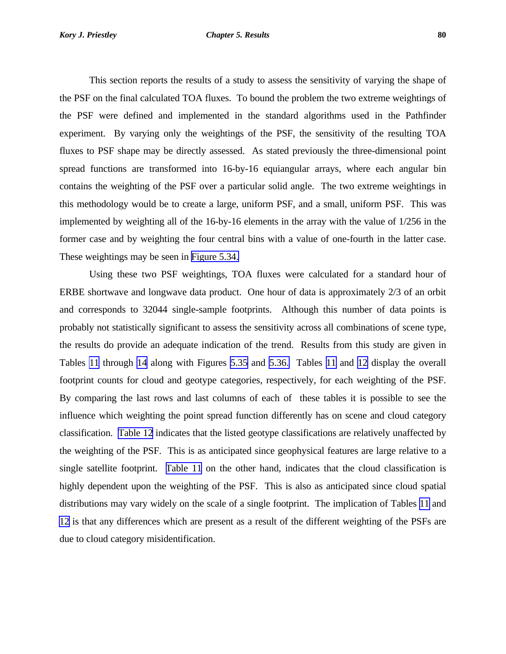This section reports the results of a study to assess the sensitivity of varying the shape of the PSF on the final calculated TOA fluxes. To bound the problem the two extreme weightings of the PSF were defined and implemented in the standard algorithms used in the Pathfinder experiment. By varying only the weightings of the PSF, the sensitivity of the resulting TOA fluxes to PSF shape may be directly assessed. As stated previously the three-dimensional point spread functions are transformed into 16-by-16 equiangular arrays, where each angular bin contains the weighting of the PSF over a particular solid angle. The two extreme weightings in this methodology would be to create a large, uniform PSF, and a small, uniform PSF. This was implemented by weighting all of the 16-by-16 elements in the array with the value of 1/256 in the former case and by weighting the four central bins with a value of one-fourth in the latter case. These weightings may be seen in [Figure 5.34.](#page-20-0)

Using these two PSF weightings, TOA fluxes were calculated for a standard hour of ERBE shortwave and longwave data product. One hour of data is approximately 2/3 of an orbit and corresponds to 32044 single-sample footprints. Although this number of data points is probably not statistically significant to assess the sensitivity across all combinations of scene type, the results do provide an adequate indication of the trend. Results from this study are given in Tables [11](#page-10-0) through [14](#page-13-0) along with Figures [5.35](#page-21-0) and [5.36.](#page-22-0) Tables [11](#page-10-0) and [12](#page-11-0) display the overall footprint counts for cloud and geotype categories, respectively, for each weighting of the PSF. By comparing the last rows and last columns of each of these tables it is possible to see the influence which weighting the point spread function differently has on scene and cloud category classification. [Table 12](#page-11-0) indicates that the listed geotype classifications are relatively unaffected by the weighting of the PSF. This is as anticipated since geophysical features are large relative to a single satellite footprint. [Table 11](#page-10-0) on the other hand, indicates that the cloud classification is highly dependent upon the weighting of the PSF. This is also as anticipated since cloud spatial distributions may vary widely on the scale of a single footprint. The implication of Tables [11](#page-10-0) and [12](#page-11-0) is that any differences which are present as a result of the different weighting of the PSFs are due to cloud category misidentification.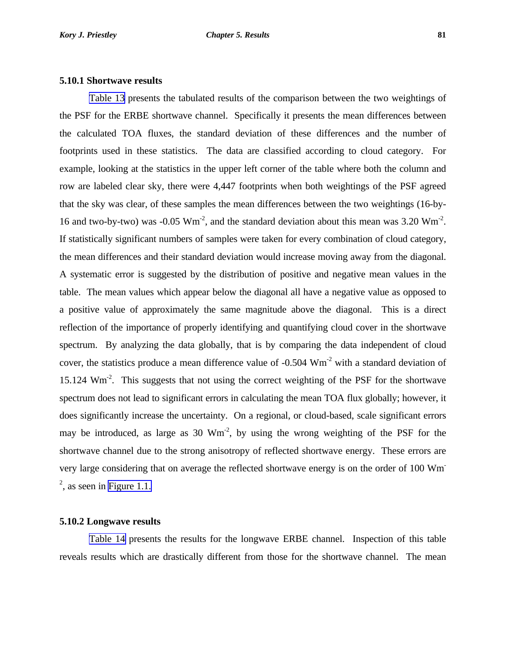#### **5.10.1 Shortwave results**

[Table 13](#page-12-0) presents the tabulated results of the comparison between the two weightings of the PSF for the ERBE shortwave channel. Specifically it presents the mean differences between the calculated TOA fluxes, the standard deviation of these differences and the number of footprints used in these statistics. The data are classified according to cloud category. For example, looking at the statistics in the upper left corner of the table where both the column and row are labeled clear sky, there were 4,447 footprints when both weightings of the PSF agreed that the sky was clear, of these samples the mean differences between the two weightings (16-by-16 and two-by-two) was -0.05  $Wm^{-2}$ , and the standard deviation about this mean was 3.20  $Wm^{-2}$ . If statistically significant numbers of samples were taken for every combination of cloud category, the mean differences and their standard deviation would increase moving away from the diagonal. A systematic error is suggested by the distribution of positive and negative mean values in the table. The mean values which appear below the diagonal all have a negative value as opposed to a positive value of approximately the same magnitude above the diagonal. This is a direct reflection of the importance of properly identifying and quantifying cloud cover in the shortwave spectrum. By analyzing the data globally, that is by comparing the data independent of cloud cover, the statistics produce a mean difference value of -0.504 Wm-2 with a standard deviation of 15.124 Wm<sup>-2</sup>. This suggests that not using the correct weighting of the PSF for the shortwave spectrum does not lead to significant errors in calculating the mean TOA flux globally; however, it does significantly increase the uncertainty. On a regional, or cloud-based, scale significant errors may be introduced, as large as  $30 \text{ Wm}^2$ , by using the wrong weighting of the PSF for the shortwave channel due to the strong anisotropy of reflected shortwave energy. These errors are very large considering that on average the reflected shortwave energy is on the order of 100 Wm- $2<sup>2</sup>$ , as seen in [Figure 1.1.](#page-0-0)

#### **5.10.2 Longwave results**

[Table 14](#page-13-0) presents the results for the longwave ERBE channel. Inspection of this table reveals results which are drastically different from those for the shortwave channel. The mean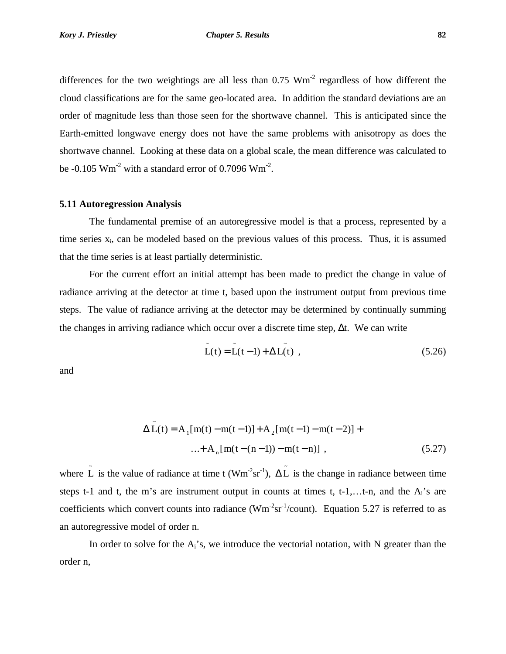differences for the two weightings are all less than  $0.75 \text{ Wm}^2$  regardless of how different the cloud classifications are for the same geo-located area. In addition the standard deviations are an order of magnitude less than those seen for the shortwave channel. This is anticipated since the Earth-emitted longwave energy does not have the same problems with anisotropy as does the shortwave channel. Looking at these data on a global scale, the mean difference was calculated to be  $-0.105$  Wm<sup>-2</sup> with a standard error of 0.7096 Wm<sup>-2</sup>.

## **5.11 Autoregression Analysis**

The fundamental premise of an autoregressive model is that a process, represented by a time series  $x_i$ , can be modeled based on the previous values of this process. Thus, it is assumed that the time series is at least partially deterministic.

For the current effort an initial attempt has been made to predict the change in value of radiance arriving at the detector at time t, based upon the instrument output from previous time steps. The value of radiance arriving at the detector may be determined by continually summing the changes in arriving radiance which occur over a discrete time step,  $\Delta t$ . We can write

$$
\tilde{L}(t) = \tilde{L}(t-1) + \Delta L(t) , \qquad (5.26)
$$

and

$$
\Delta \tilde{L}(t) = A_1[m(t) - m(t-1)] + A_2[m(t-1) - m(t-2)] + ... + A_n[m(t-(n-1)) - m(t-n)] ,
$$
\n(5.27)

where  $\tilde{L}$  is the value of radiance at time t (Wm<sup>-2</sup>sr<sup>-1</sup>),  $\Delta \tilde{L}$  is the change in radiance between time steps t-1 and t, the m's are instrument output in counts at times t, t-1,...t-n, and the  $A_i$ 's are coefficients which convert counts into radiance ( $Wm<sup>-2</sup>sr<sup>-1</sup>/count$ ). Equation 5.27 is referred to as an autoregressive model of order n.

In order to solve for the  $A_i$ 's, we introduce the vectorial notation, with N greater than the order n,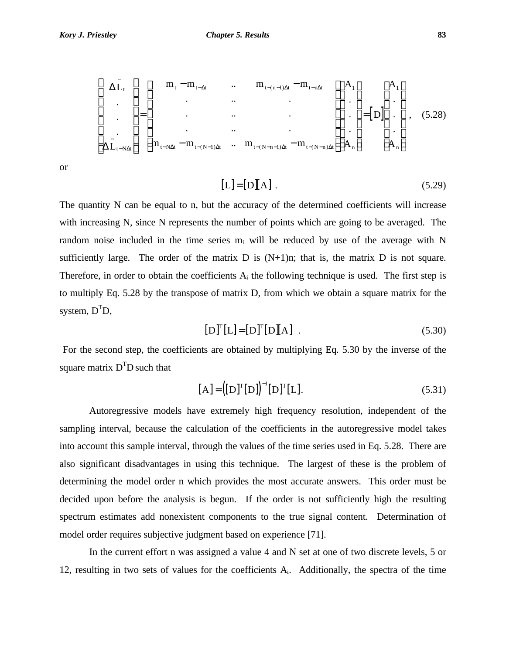$$
\begin{bmatrix}\n\Delta \tilde{L}_{t} \\
\vdots \\
\Delta \tilde{L}_{t-N\Delta t}\n\end{bmatrix} = \begin{bmatrix}\nm_{t} - m_{t-\Delta t} & \dots & m_{t-(n-1)\Delta t} - m_{t-n\Delta t} \\
\vdots & \vdots & \ddots & \vdots \\
\vdots & \vdots & \ddots & \vdots \\
m_{t-N\Delta t} - m_{t-(N-1)\Delta t} & \dots & m_{t-(N-n-1)\Delta t} - m_{t-(N-n)\Delta t}\n\end{bmatrix} \begin{bmatrix}\nA_{1} \\
\vdots \\
A_{n}\n\end{bmatrix} = \begin{bmatrix}\nD\n\end{bmatrix} \begin{bmatrix}\nA_{1} \\
\vdots \\
A_{n}\n\end{bmatrix},
$$
\n(5.28)

or

$$
[L] = [D][A]. \tag{5.29}
$$

The quantity N can be equal to n, but the accuracy of the determined coefficients will increase with increasing N, since N represents the number of points which are going to be averaged. The random noise included in the time series  $m_i$  will be reduced by use of the average with N sufficiently large. The order of the matrix  $D$  is  $(N+1)n$ ; that is, the matrix  $D$  is not square. Therefore, in order to obtain the coefficients  $A_i$  the following technique is used. The first step is to multiply Eq. 5.28 by the transpose of matrix D, from which we obtain a square matrix for the system,  $D^{T}D$ ,

$$
[D]^{T}[L] = [D]^{T}[D][A] . \t(5.30)
$$

 For the second step, the coefficients are obtained by multiplying Eq. 5.30 by the inverse of the square matrix  $D<sup>T</sup>D$  such that

$$
[A] = ([D]^{T} [D])^{-1} [D]^{T} [L]. \qquad (5.31)
$$

Autoregressive models have extremely high frequency resolution, independent of the sampling interval, because the calculation of the coefficients in the autoregressive model takes into account this sample interval, through the values of the time series used in Eq. 5.28. There are also significant disadvantages in using this technique. The largest of these is the problem of determining the model order n which provides the most accurate answers. This order must be decided upon before the analysis is begun. If the order is not sufficiently high the resulting spectrum estimates add nonexistent components to the true signal content. Determination of model order requires subjective judgment based on experience [71].

In the current effort n was assigned a value 4 and N set at one of two discrete levels, 5 or 12, resulting in two sets of values for the coefficients  $A_i$ . Additionally, the spectra of the time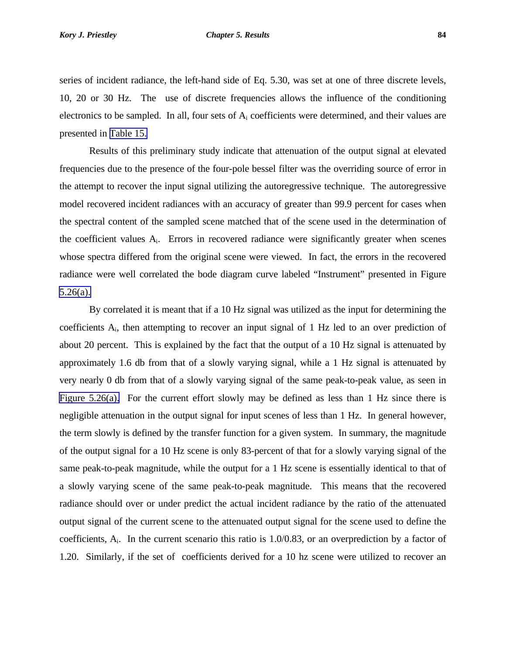series of incident radiance, the left-hand side of Eq. 5.30, was set at one of three discrete levels, 10, 20 or 30 Hz. The use of discrete frequencies allows the influence of the conditioning electronics to be sampled. In all, four sets of  $A_i$  coefficients were determined, and their values are presented in [Table 15.](#page-14-0)

Results of this preliminary study indicate that attenuation of the output signal at elevated frequencies due to the presence of the four-pole bessel filter was the overriding source of error in the attempt to recover the input signal utilizing the autoregressive technique. The autoregressive model recovered incident radiances with an accuracy of greater than 99.9 percent for cases when the spectral content of the sampled scene matched that of the scene used in the determination of the coefficient values  $A_i$ . Errors in recovered radiance were significantly greater when scenes whose spectra differed from the original scene were viewed. In fact, the errors in the recovered radiance were well correlated the bode diagram curve labeled "Instrument" presented in Figure [5.26\(a\).](#page-12-0)

By correlated it is meant that if a 10 Hz signal was utilized as the input for determining the coefficients Ai, then attempting to recover an input signal of 1 Hz led to an over prediction of about 20 percent. This is explained by the fact that the output of a 10 Hz signal is attenuated by approximately 1.6 db from that of a slowly varying signal, while a 1 Hz signal is attenuated by very nearly 0 db from that of a slowly varying signal of the same peak-to-peak value, as seen in [Figure 5.26\(a\).](#page-12-0) For the current effort slowly may be defined as less than 1 Hz since there is negligible attenuation in the output signal for input scenes of less than 1 Hz. In general however, the term slowly is defined by the transfer function for a given system. In summary, the magnitude of the output signal for a 10 Hz scene is only 83-percent of that for a slowly varying signal of the same peak-to-peak magnitude, while the output for a 1 Hz scene is essentially identical to that of a slowly varying scene of the same peak-to-peak magnitude. This means that the recovered radiance should over or under predict the actual incident radiance by the ratio of the attenuated output signal of the current scene to the attenuated output signal for the scene used to define the coefficients,  $A_i$ . In the current scenario this ratio is 1.0/0.83, or an overprediction by a factor of 1.20. Similarly, if the set of coefficients derived for a 10 hz scene were utilized to recover an